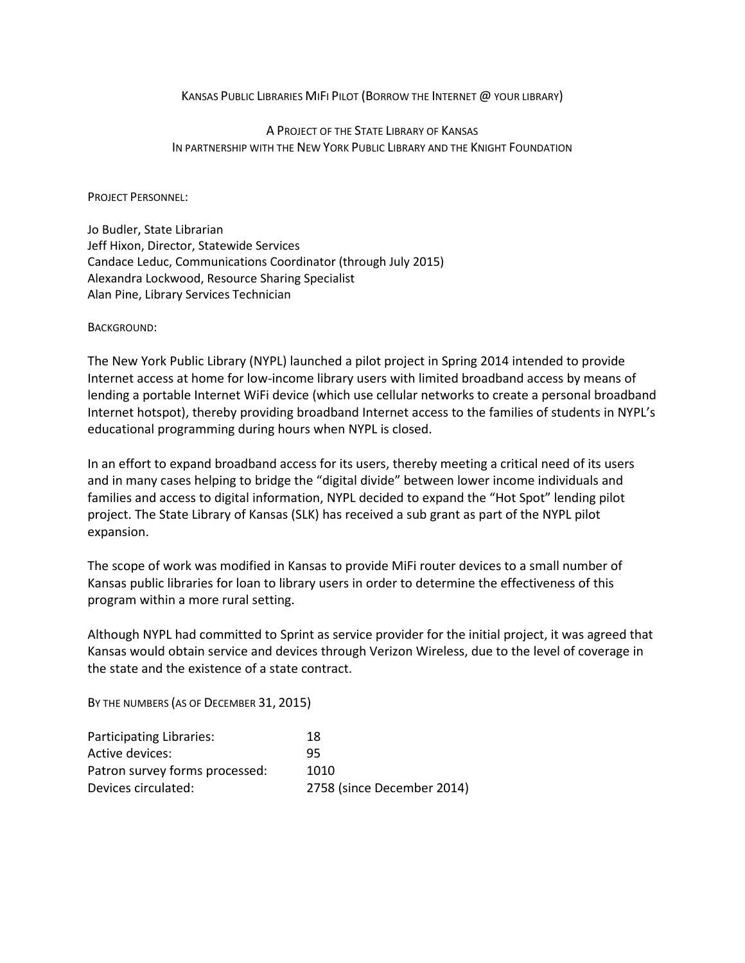#### KANSAS PUBLIC LIBRARIES MIFI PILOT (BORROW THE INTERNET @ YOUR LIBRARY)

### A PROJECT OF THE STATE LIBRARY OF KANSAS IN PARTNERSHIP WITH THE NEW YORK PUBLIC LIBRARY AND THE KNIGHT FOUNDATION

#### PROJECT PERSONNEL:

Jo Budler, State Librarian Jeff Hixon, Director, Statewide Services Candace Leduc, Communications Coordinator (through July 2015) Alexandra Lockwood, Resource Sharing Specialist Alan Pine, Library Services Technician

#### BACKGROUND:

The New York Public Library (NYPL) launched a pilot project in Spring 2014 intended to provide Internet access at home for low-income library users with limited broadband access by means of lending a portable Internet WiFi device (which use cellular networks to create a personal broadband Internet hotspot), thereby providing broadband Internet access to the families of students in NYPL's educational programming during hours when NYPL is closed.

In an effort to expand broadband access for its users, thereby meeting a critical need of its users and in many cases helping to bridge the "digital divide" between lower income individuals and families and access to digital information, NYPL decided to expand the "Hot Spot" lending pilot project. The State Library of Kansas (SLK) has received a sub grant as part of the NYPL pilot expansion.

The scope of work was modified in Kansas to provide MiFi router devices to a small number of Kansas public libraries for loan to library users in order to determine the effectiveness of this program within a more rural setting.

Although NYPL had committed to Sprint as service provider for the initial project, it was agreed that Kansas would obtain service and devices through Verizon Wireless, due to the level of coverage in the state and the existence of a state contract.

BY THE NUMBERS (AS OF DECEMBER 31, 2015)

| Participating Libraries:       | 18                         |
|--------------------------------|----------------------------|
| Active devices:                | 95                         |
| Patron survey forms processed: | 1010                       |
| Devices circulated:            | 2758 (since December 2014) |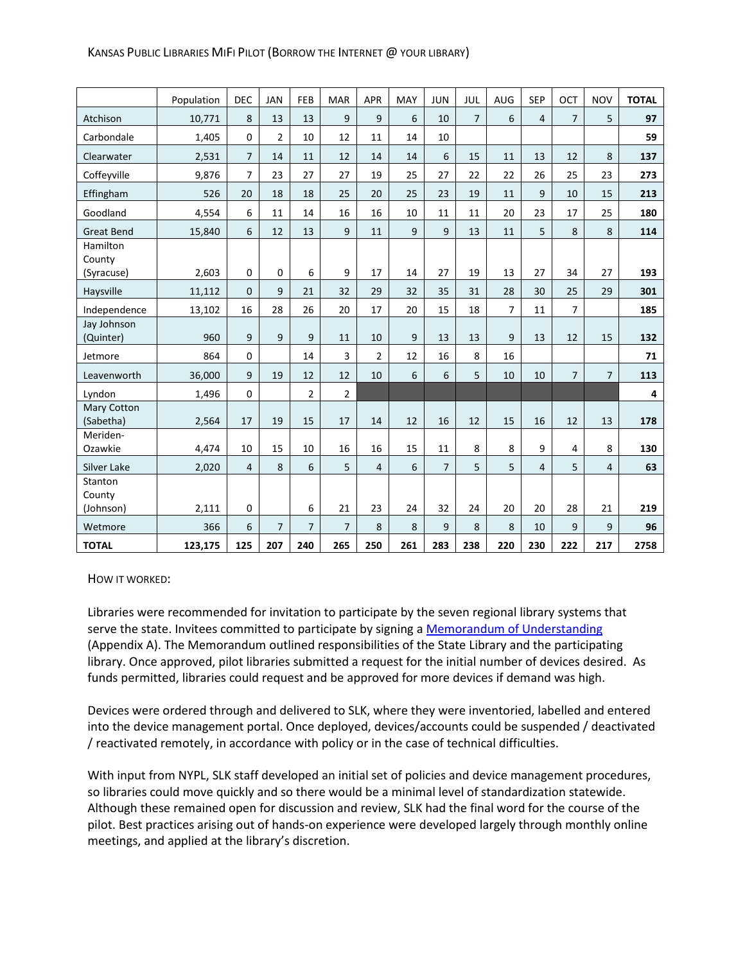#### KANSAS PUBLIC LIBRARIES MIFI PILOT (BORROW THE INTERNET @ YOUR LIBRARY)

|                          | Population | DEC            | <b>JAN</b>     | FEB            | <b>MAR</b>     | <b>APR</b>     | MAY | <b>JUN</b>     | JUL            | <b>AUG</b>     | <b>SEP</b>     | OCT            | <b>NOV</b>     | <b>TOTAL</b> |
|--------------------------|------------|----------------|----------------|----------------|----------------|----------------|-----|----------------|----------------|----------------|----------------|----------------|----------------|--------------|
| Atchison                 | 10,771     | 8              | 13             | 13             | 9              | 9              | 6   | 10             | $\overline{7}$ | 6              | $\overline{4}$ | $\overline{7}$ | 5              | 97           |
| Carbondale               | 1,405      | $\mathbf 0$    | $\overline{2}$ | 10             | 12             | 11             | 14  | 10             |                |                |                |                |                | 59           |
| Clearwater               | 2,531      | $\overline{7}$ | 14             | 11             | 12             | 14             | 14  | 6              | 15             | 11             | 13             | 12             | 8              | 137          |
| Coffevville              | 9,876      | $\overline{7}$ | 23             | 27             | 27             | 19             | 25  | 27             | 22             | 22             | 26             | 25             | 23             | 273          |
| Effingham                | 526        | 20             | 18             | 18             | 25             | 20             | 25  | 23             | 19             | 11             | 9              | 10             | 15             | 213          |
| Goodland                 | 4,554      | 6              | 11             | 14             | 16             | 16             | 10  | 11             | 11             | 20             | 23             | 17             | 25             | 180          |
| <b>Great Bend</b>        | 15,840     | 6              | 12             | 13             | 9              | 11             | 9   | 9              | 13             | 11             | 5              | 8              | 8              | 114          |
| Hamilton<br>County       |            |                |                |                |                |                |     |                |                |                |                |                |                |              |
| (Syracuse)               | 2,603      | $\mathbf 0$    | $\mathbf 0$    | 6              | 9              | 17             | 14  | 27             | 19             | 13             | 27             | 34             | 27             | 193          |
| Haysville                | 11,112     | $\mathbf{0}$   | 9              | 21             | 32             | 29             | 32  | 35             | 31             | 28             | 30             | 25             | 29             | 301          |
| Independence             | 13,102     | 16             | 28             | 26             | 20             | 17             | 20  | 15             | 18             | $\overline{7}$ | 11             | $\overline{7}$ |                | 185          |
| Jay Johnson<br>(Quinter) | 960        | 9              | 9              | 9              | 11             | 10             | 9   | 13             | 13             | 9              | 13             | 12             | 15             | 132          |
| Jetmore                  | 864        | $\mathbf 0$    |                | 14             | 3              | $\overline{2}$ | 12  | 16             | 8              | 16             |                |                |                | 71           |
| Leavenworth              | 36,000     | 9              | 19             | 12             | 12             | 10             | 6   | 6              | 5              | 10             | 10             | $\overline{7}$ | $\overline{7}$ | 113          |
| Lyndon                   | 1,496      | $\mathbf 0$    |                | $\overline{2}$ | $\overline{2}$ |                |     |                |                |                |                |                |                | 4            |
| Mary Cotton<br>(Sabetha) | 2,564      | 17             | 19             | 15             | 17             | 14             | 12  | 16             | 12             | 15             | 16             | 12             | 13             | 178          |
| Meriden-                 |            |                |                |                |                |                |     |                |                |                |                |                |                |              |
| Ozawkie                  | 4,474      | 10             | 15             | 10             | 16             | 16             | 15  | 11             | 8              | 8              | 9              | 4              | 8              | 130          |
| Silver Lake              | 2,020      | $\overline{4}$ | 8              | 6              | 5              | 4              | 6   | $\overline{7}$ | 5              | 5              | $\overline{4}$ | 5              | $\overline{4}$ | 63           |
| Stanton<br>County        |            |                |                |                |                |                |     |                |                |                |                |                |                |              |
| (Johnson)                | 2,111      | $\mathbf 0$    |                | 6              | 21             | 23             | 24  | 32             | 24             | 20             | 20             | 28             | 21             | 219          |
| Wetmore                  | 366        | 6              | $\overline{7}$ | $\overline{7}$ | $\overline{7}$ | 8              | 8   | 9              | 8              | 8              | 10             | 9              | 9              | 96           |
| <b>TOTAL</b>             | 123,175    | 125            | 207            | 240            | 265            | 250            | 261 | 283            | 238            | 220            | 230            | 222            | 217            | 2758         |

HOW IT WORKED:

Libraries were recommended for invitation to participate by the seven regional library systems that serve the state. Invitees committed to participate by signing a [Memorandum of Understanding](http://kslib.info/DocumentCenter/View/3877) (Appendix A). The Memorandum outlined responsibilities of the State Library and the participating library. Once approved, pilot libraries submitted a request for the initial number of devices desired. As funds permitted, libraries could request and be approved for more devices if demand was high.

Devices were ordered through and delivered to SLK, where they were inventoried, labelled and entered into the device management portal. Once deployed, devices/accounts could be suspended / deactivated / reactivated remotely, in accordance with policy or in the case of technical difficulties.

With input from NYPL, SLK staff developed an initial set of policies and device management procedures, so libraries could move quickly and so there would be a minimal level of standardization statewide. Although these remained open for discussion and review, SLK had the final word for the course of the pilot. Best practices arising out of hands-on experience were developed largely through monthly online meetings, and applied at the library's discretion.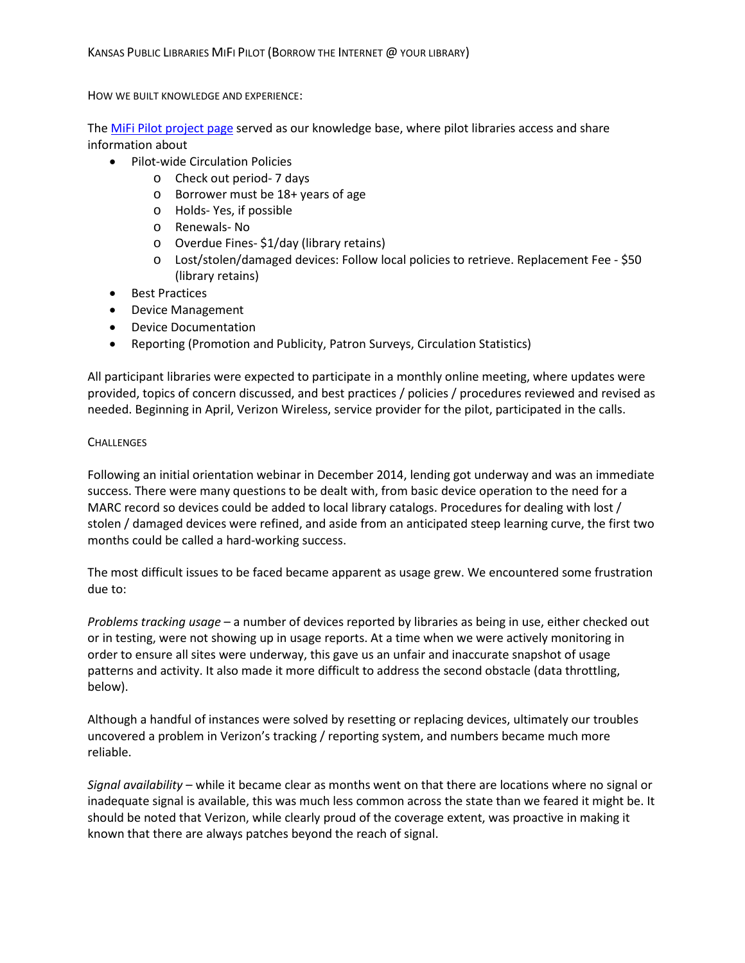HOW WE BUILT KNOWLEDGE AND EXPERIENCE:

The [MiFi Pilot project page](http://kslib.info/1107) served as our knowledge base, where pilot libraries access and share information about

- Pilot-wide Circulation Policies
	- o Check out period- 7 days
	- o Borrower must be 18+ years of age
	- o Holds- Yes, if possible
	- o Renewals- No
	- o Overdue Fines- \$1/day (library retains)
	- o Lost/stolen/damaged devices: Follow local policies to retrieve. Replacement Fee \$50 (library retains)
- Best Practices
- Device Management
- Device Documentation
- Reporting (Promotion and Publicity, Patron Surveys, Circulation Statistics)

All participant libraries were expected to participate in a monthly online meeting, where updates were provided, topics of concern discussed, and best practices / policies / procedures reviewed and revised as needed. Beginning in April, Verizon Wireless, service provider for the pilot, participated in the calls.

#### **CHALLENGES**

Following an initial orientation webinar in December 2014, lending got underway and was an immediate success. There were many questions to be dealt with, from basic device operation to the need for a MARC record so devices could be added to local library catalogs. Procedures for dealing with lost / stolen / damaged devices were refined, and aside from an anticipated steep learning curve, the first two months could be called a hard-working success.

The most difficult issues to be faced became apparent as usage grew. We encountered some frustration due to:

*Problems tracking usage* – a number of devices reported by libraries as being in use, either checked out or in testing, were not showing up in usage reports. At a time when we were actively monitoring in order to ensure all sites were underway, this gave us an unfair and inaccurate snapshot of usage patterns and activity. It also made it more difficult to address the second obstacle (data throttling, below).

Although a handful of instances were solved by resetting or replacing devices, ultimately our troubles uncovered a problem in Verizon's tracking / reporting system, and numbers became much more reliable.

*Signal availability* – while it became clear as months went on that there are locations where no signal or inadequate signal is available, this was much less common across the state than we feared it might be. It should be noted that Verizon, while clearly proud of the coverage extent, was proactive in making it known that there are always patches beyond the reach of signal.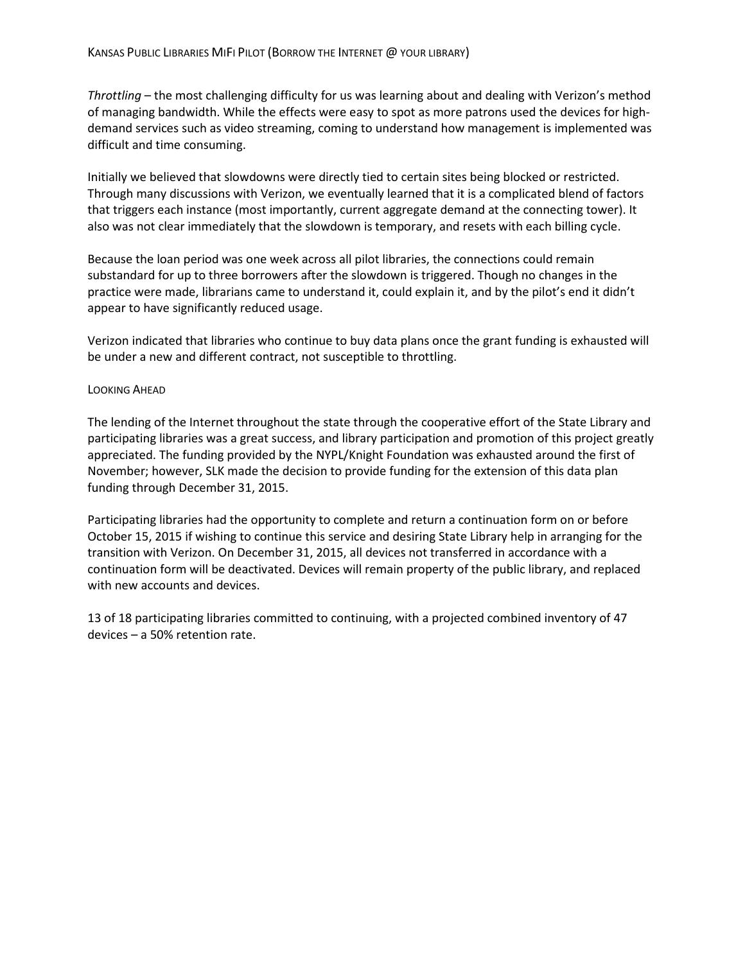*Throttling* – the most challenging difficulty for us was learning about and dealing with Verizon's method of managing bandwidth. While the effects were easy to spot as more patrons used the devices for highdemand services such as video streaming, coming to understand how management is implemented was difficult and time consuming.

Initially we believed that slowdowns were directly tied to certain sites being blocked or restricted. Through many discussions with Verizon, we eventually learned that it is a complicated blend of factors that triggers each instance (most importantly, current aggregate demand at the connecting tower). It also was not clear immediately that the slowdown is temporary, and resets with each billing cycle.

Because the loan period was one week across all pilot libraries, the connections could remain substandard for up to three borrowers after the slowdown is triggered. Though no changes in the practice were made, librarians came to understand it, could explain it, and by the pilot's end it didn't appear to have significantly reduced usage.

Verizon indicated that libraries who continue to buy data plans once the grant funding is exhausted will be under a new and different contract, not susceptible to throttling.

#### LOOKING AHEAD

The lending of the Internet throughout the state through the cooperative effort of the State Library and participating libraries was a great success, and library participation and promotion of this project greatly appreciated. The funding provided by the NYPL/Knight Foundation was exhausted around the first of November; however, SLK made the decision to provide funding for the extension of this data plan funding through December 31, 2015.

Participating libraries had the opportunity to complete and return a continuation form on or before October 15, 2015 if wishing to continue this service and desiring State Library help in arranging for the transition with Verizon. On December 31, 2015, all devices not transferred in accordance with a continuation form will be deactivated. Devices will remain property of the public library, and replaced with new accounts and devices.

13 of 18 participating libraries committed to continuing, with a projected combined inventory of 47 devices – a 50% retention rate.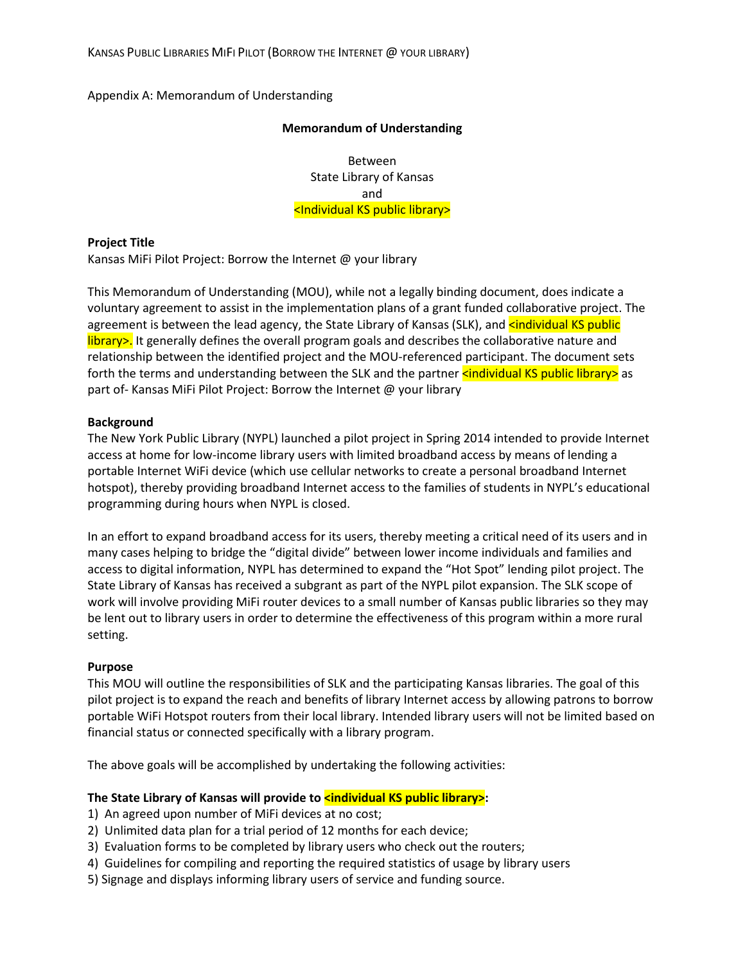Appendix A: Memorandum of Understanding

#### **Memorandum of Understanding**

Between State Library of Kansas and <Individual KS public library>

#### **Project Title**

Kansas MiFi Pilot Project: Borrow the Internet @ your library

This Memorandum of Understanding (MOU), while not a legally binding document, does indicate a voluntary agreement to assist in the implementation plans of a grant funded collaborative project. The agreement is between the lead agency, the State Library of Kansas (SLK), and sindividual KS public library>. It generally defines the overall program goals and describes the collaborative nature and relationship between the identified project and the MOU-referenced participant. The document sets forth the terms and understanding between the SLK and the partner **sindividual KS public library>** as part of- Kansas MiFi Pilot Project: Borrow the Internet @ your library

### **Background**

The New York Public Library (NYPL) launched a pilot project in Spring 2014 intended to provide Internet access at home for low-income library users with limited broadband access by means of lending a portable Internet WiFi device (which use cellular networks to create a personal broadband Internet hotspot), thereby providing broadband Internet access to the families of students in NYPL's educational programming during hours when NYPL is closed.

In an effort to expand broadband access for its users, thereby meeting a critical need of its users and in many cases helping to bridge the "digital divide" between lower income individuals and families and access to digital information, NYPL has determined to expand the "Hot Spot" lending pilot project. The State Library of Kansas has received a subgrant as part of the NYPL pilot expansion. The SLK scope of work will involve providing MiFi router devices to a small number of Kansas public libraries so they may be lent out to library users in order to determine the effectiveness of this program within a more rural setting.

## **Purpose**

This MOU will outline the responsibilities of SLK and the participating Kansas libraries. The goal of this pilot project is to expand the reach and benefits of library Internet access by allowing patrons to borrow portable WiFi Hotspot routers from their local library. Intended library users will not be limited based on financial status or connected specifically with a library program.

The above goals will be accomplished by undertaking the following activities:

## The State Library of Kansas will provide to *sindividual KS public library>*:

- 1) An agreed upon number of MiFi devices at no cost;
- 2) Unlimited data plan for a trial period of 12 months for each device;
- 3) Evaluation forms to be completed by library users who check out the routers;
- 4) Guidelines for compiling and reporting the required statistics of usage by library users
- 5) Signage and displays informing library users of service and funding source.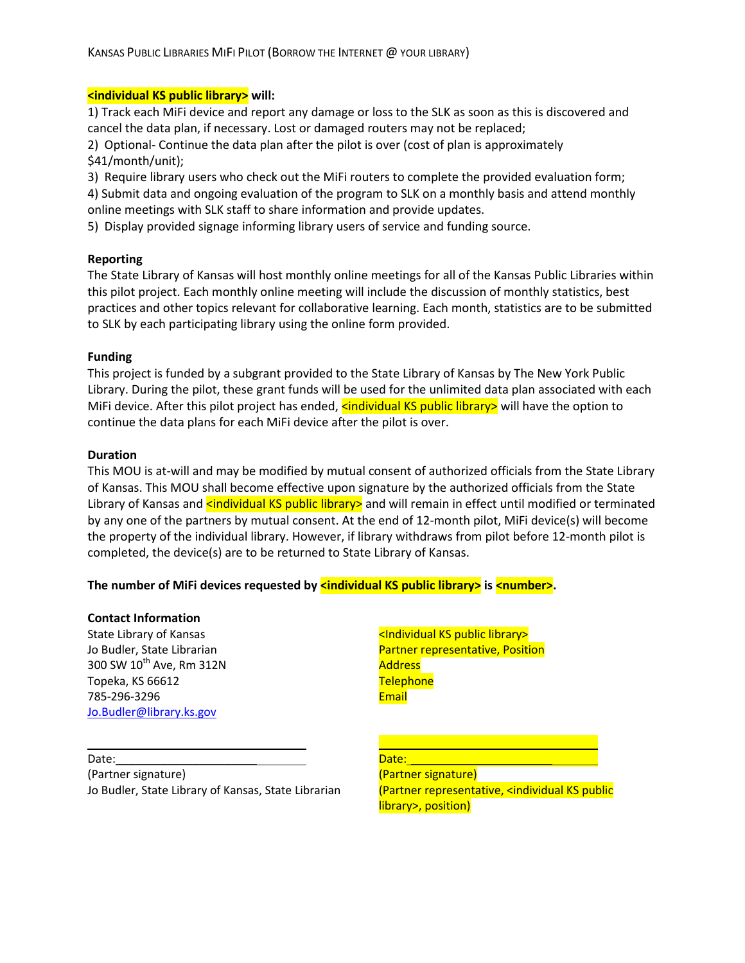#### **<individual KS public library> will:**

1) Track each MiFi device and report any damage or loss to the SLK as soon as this is discovered and cancel the data plan, if necessary. Lost or damaged routers may not be replaced;

2) Optional- Continue the data plan after the pilot is over (cost of plan is approximately \$41/month/unit);

3) Require library users who check out the MiFi routers to complete the provided evaluation form;

4) Submit data and ongoing evaluation of the program to SLK on a monthly basis and attend monthly online meetings with SLK staff to share information and provide updates.

5) Display provided signage informing library users of service and funding source.

### **Reporting**

The State Library of Kansas will host monthly online meetings for all of the Kansas Public Libraries within this pilot project. Each monthly online meeting will include the discussion of monthly statistics, best practices and other topics relevant for collaborative learning. Each month, statistics are to be submitted to SLK by each participating library using the online form provided.

### **Funding**

This project is funded by a subgrant provided to the State Library of Kansas by The New York Public Library. During the pilot, these grant funds will be used for the unlimited data plan associated with each MiFi device. After this pilot project has ended, **kindividual KS public library>** will have the option to continue the data plans for each MiFi device after the pilot is over.

### **Duration**

This MOU is at-will and may be modified by mutual consent of authorized officials from the State Library of Kansas. This MOU shall become effective upon signature by the authorized officials from the State Library of Kansas and **<individual KS public library>** and will remain in effect until modified or terminated by any one of the partners by mutual consent. At the end of 12-month pilot, MiFi device(s) will become the property of the individual library. However, if library withdraws from pilot before 12-month pilot is completed, the device(s) are to be returned to State Library of Kansas.

## **The number of MiFi devices requested by <b>sindividual KS public library>** is **sinumber>**.

#### **Contact Information**

State Library of Kansas Jo Budler, State Librarian 300 SW 10<sup>th</sup> Ave, Rm 312N Topeka, KS 66612 785-296-3296 [Jo.Budler@library.ks.gov](mailto:Jo.Budler@library.ks.gov)

\_\_\_\_\_\_\_\_\_\_\_\_\_\_\_\_\_\_\_\_\_\_\_\_\_\_

<Individual KS public library> Partner representative, Position Address **Telephone Email** 

\_\_\_\_\_\_\_\_\_\_\_\_\_\_\_\_\_\_\_\_\_\_\_\_\_\_\_

Date: (Partner signature) Jo Budler, State Library of Kansas, State Librarian

Date: 1 (Partner signature) (Partner representative, <individual KS public library>, position)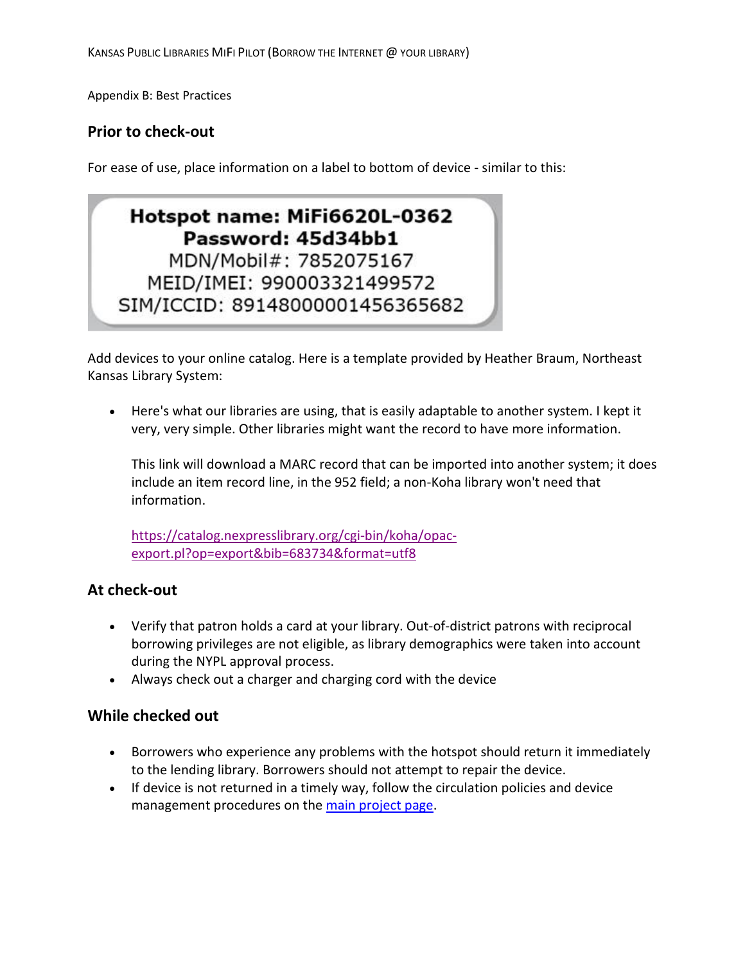Appendix B: Best Practices

## **Prior to check-out**

For ease of use, place information on a label to bottom of device - similar to this:

# Hotspot name: MiFi6620L-0362 Password: 45d34bb1 MDN/Mobil#: 7852075167 MEID/IMEI: 990003321499572 SIM/ICCID: 89148000001456365682

Add devices to your online catalog. Here is a template provided by Heather Braum, Northeast Kansas Library System:

• Here's what our libraries are using, that is easily adaptable to another system. I kept it very, very simple. Other libraries might want the record to have more information.

This link will download a MARC record that can be imported into another system; it does include an item record line, in the 952 field; a non-Koha library won't need that information.

[https://catalog.nexpresslibrary.org/cgi-bin/koha/opac](https://catalog.nexpresslibrary.org/cgi-bin/koha/opac-export.pl?op=export&bib=683734&format=utf8)[export.pl?op=export&bib=683734&format=utf8](https://catalog.nexpresslibrary.org/cgi-bin/koha/opac-export.pl?op=export&bib=683734&format=utf8)

## **At check-out**

- Verify that patron holds a card at your library. Out-of-district patrons with reciprocal borrowing privileges are not eligible, as library demographics were taken into account during the NYPL approval process.
- Always check out a charger and charging cord with the device

## **While checked out**

- Borrowers who experience any problems with the hotspot should return it immediately to the lending library. Borrowers should not attempt to repair the device.
- If device is not returned in a timely way, follow the circulation policies and device management procedures on the [main project page.](http://ks-kansaslibrary.civicplus.com/1107)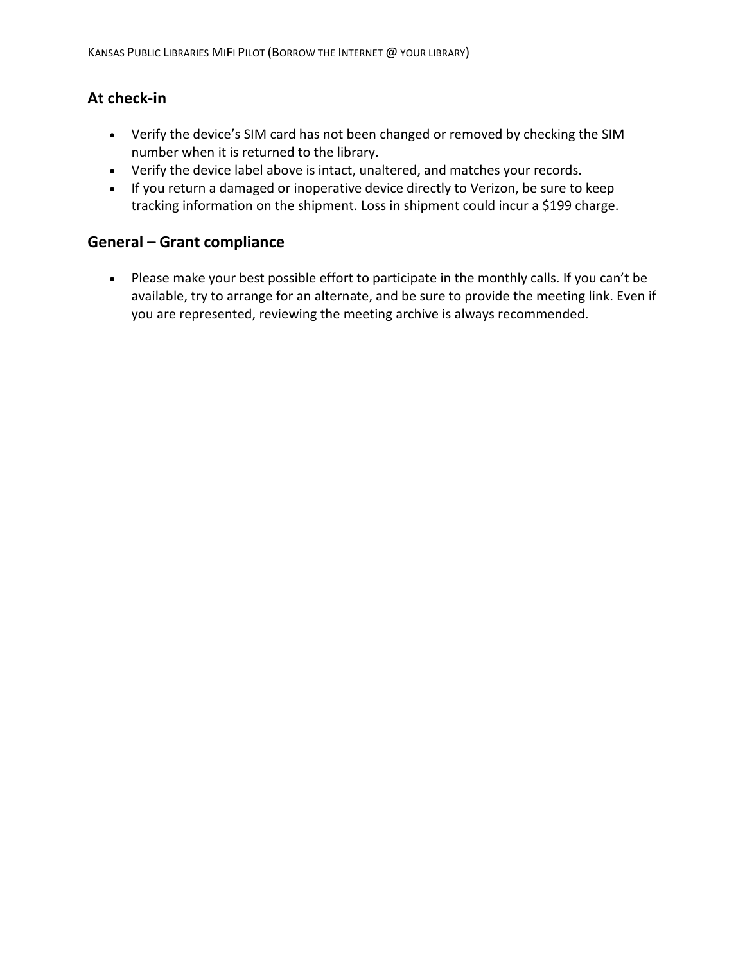## **At check-in**

- Verify the device's SIM card has not been changed or removed by checking the SIM number when it is returned to the library.
- Verify the device label above is intact, unaltered, and matches your records.
- If you return a damaged or inoperative device directly to Verizon, be sure to keep tracking information on the shipment. Loss in shipment could incur a \$199 charge.

## **General – Grant compliance**

• Please make your best possible effort to participate in the monthly calls. If you can't be available, try to arrange for an alternate, and be sure to provide the meeting link. Even if you are represented, reviewing the meeting archive is always recommended.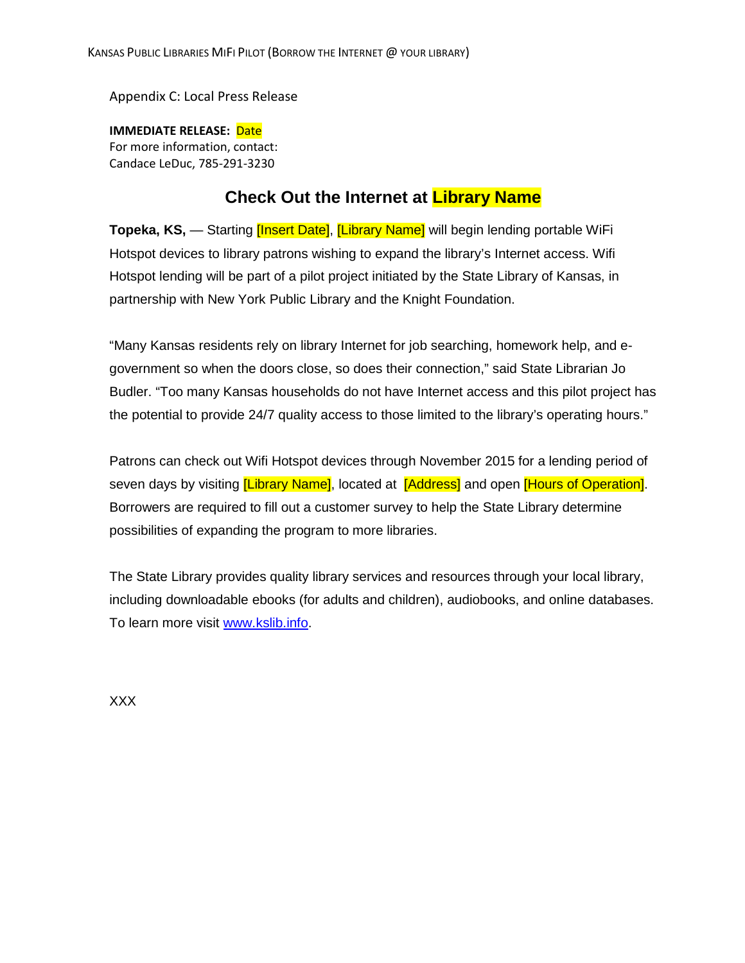Appendix C: Local Press Release

**IMMEDIATE RELEASE:** Date For more information, contact: Candace LeDuc, 785-291-3230

## **Check Out the Internet at Library Name**

**Topeka, KS,** — Starting *[Insert Date]*, *[Library Name]* will begin lending portable WiFi Hotspot devices to library patrons wishing to expand the library's Internet access. Wifi Hotspot lending will be part of a pilot project initiated by the State Library of Kansas, in partnership with New York Public Library and the Knight Foundation.

"Many Kansas residents rely on library Internet for job searching, homework help, and egovernment so when the doors close, so does their connection," said State Librarian Jo Budler. "Too many Kansas households do not have Internet access and this pilot project has the potential to provide 24/7 quality access to those limited to the library's operating hours."

Patrons can check out Wifi Hotspot devices through November 2015 for a lending period of seven days by visiting *[Library Name]*, located at *[Address]* and open *[Hours of Operation]*. Borrowers are required to fill out a customer survey to help the State Library determine possibilities of expanding the program to more libraries.

The State Library provides quality library services and resources through your local library, including downloadable ebooks (for adults and children), audiobooks, and online databases. To learn more visit [www.kslib.info.](http://www.kslib.info/)

XXX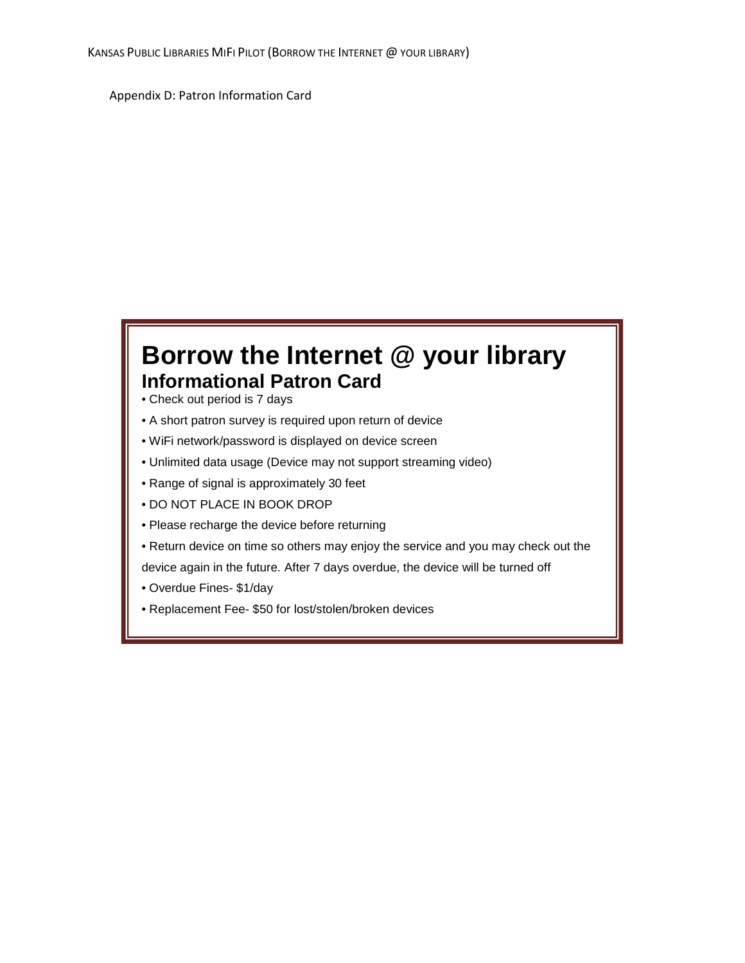Appendix D: Patron Information Card

# **Borrow the Internet @ your library Informational Patron Card**

- Check out period is 7 days
- A short patron survey is required upon return of device
- WiFi network/password is displayed on device screen
- Unlimited data usage (Device may not support streaming video)
- Range of signal is approximately 30 feet
- DO NOT PLACE IN BOOK DROP
- Please recharge the device before returning
- Return device on time so others may enjoy the service and you may check out the

device again in the future. After 7 days overdue, the device will be turned off

- Overdue Fines- \$1/day
- Replacement Fee- \$50 for lost/stolen/broken devices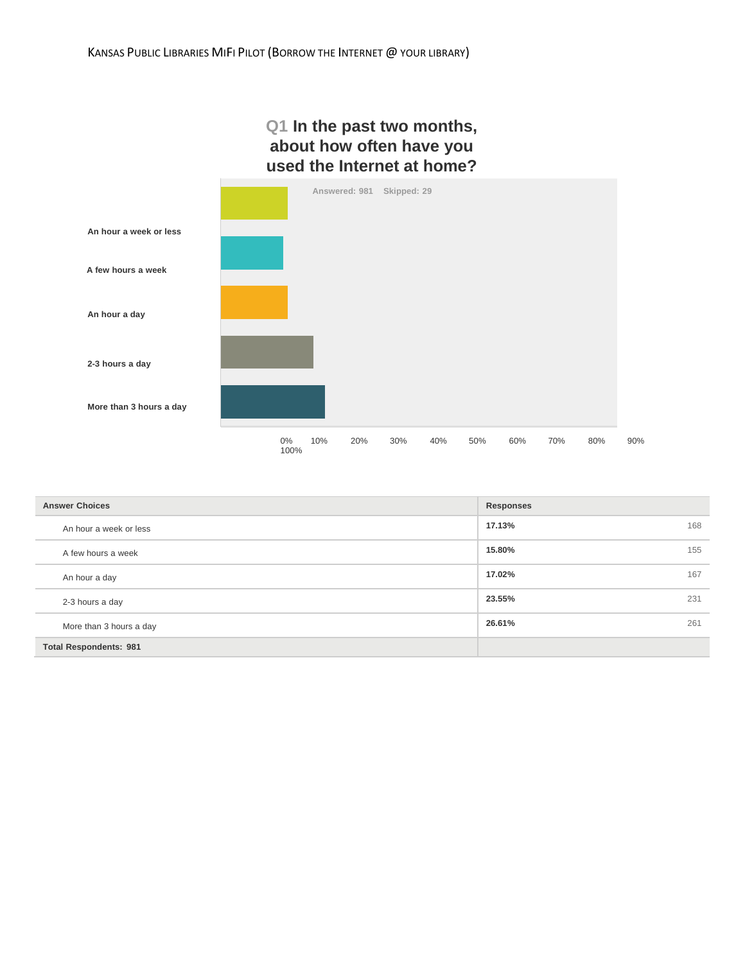## **Q1 In the past two months, about how often have you used the Internet at home?**



| <b>Answer Choices</b>         | Responses     |
|-------------------------------|---------------|
| An hour a week or less        | 17.13%<br>168 |
| A few hours a week            | 155<br>15.80% |
| An hour a day                 | 17.02%<br>167 |
| 2-3 hours a day               | 23.55%<br>231 |
| More than 3 hours a day       | 26.61%<br>261 |
| <b>Total Respondents: 981</b> |               |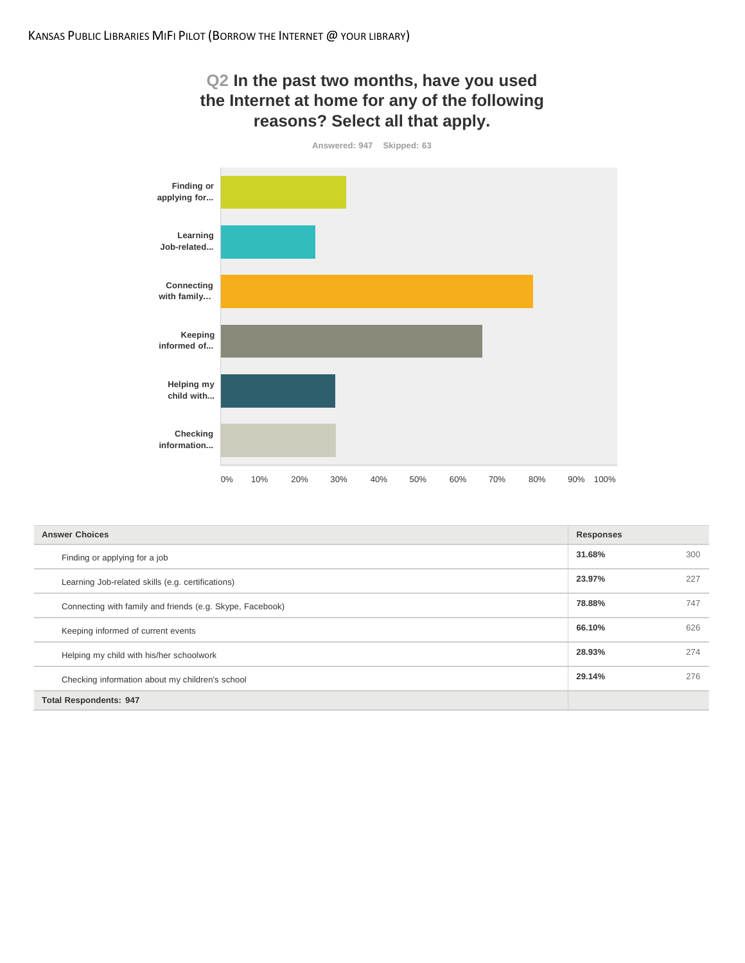# **Q2 In the past two months, have you used the Internet at home for any of the following reasons? Select all that apply.**



| <b>Answer Choices</b>                                     | <b>Responses</b> |     |
|-----------------------------------------------------------|------------------|-----|
| Finding or applying for a job                             | 31.68%           | 300 |
| Learning Job-related skills (e.g. certifications)         | 23.97%           | 227 |
| Connecting with family and friends (e.g. Skype, Facebook) | 78.88%           | 747 |
| Keeping informed of current events                        | 66.10%           | 626 |
| Helping my child with his/her schoolwork                  | 28.93%           | 274 |
| Checking information about my children's school           | 29.14%           | 276 |
| <b>Total Respondents: 947</b>                             |                  |     |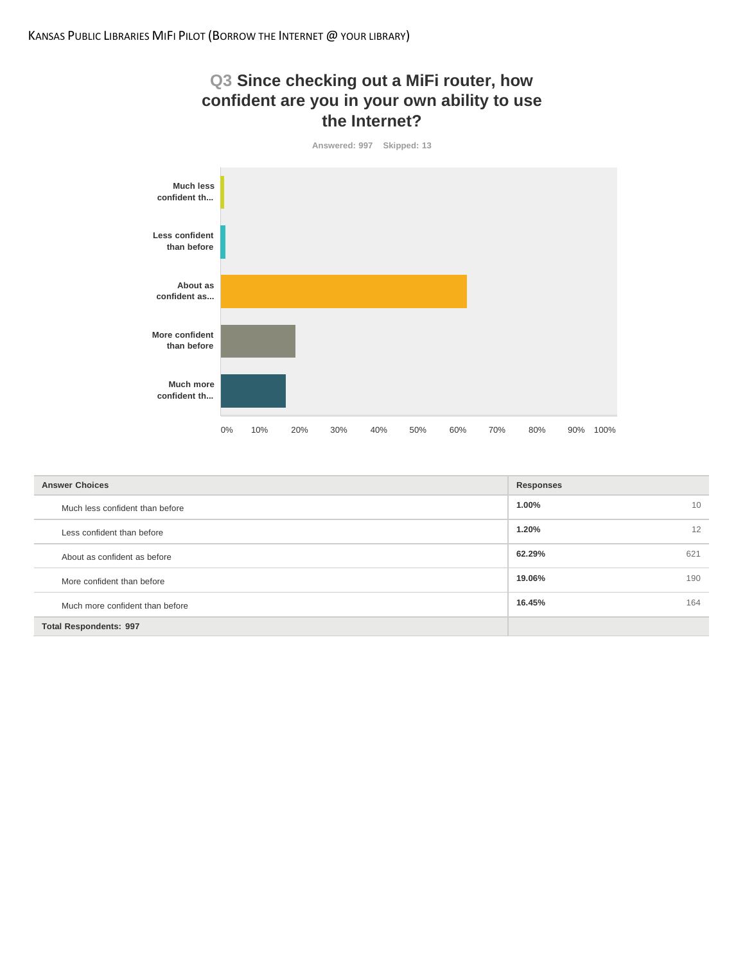



| <b>Answer Choices</b>           | Responses     |
|---------------------------------|---------------|
| Much less confident than before | 1.00%<br>10   |
| Less confident than before      | 1.20%<br>12   |
| About as confident as before    | 62.29%<br>621 |
| More confident than before      | 19.06%<br>190 |
| Much more confident than before | 16.45%<br>164 |
| <b>Total Respondents: 997</b>   |               |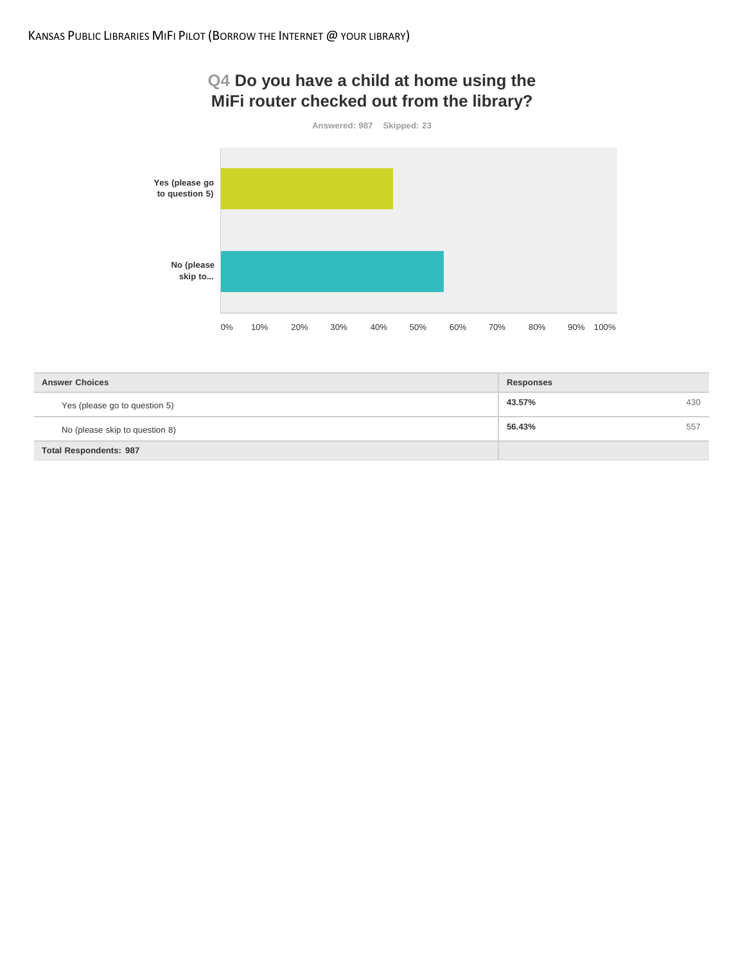## **Q4 Do you have a child at home using the MiFi router checked out from the library?**



| <b>Answer Choices</b>          | Responses     |
|--------------------------------|---------------|
| Yes (please go to question 5)  | 43.57%<br>430 |
| No (please skip to question 8) | 56.43%<br>557 |
| <b>Total Respondents: 987</b>  |               |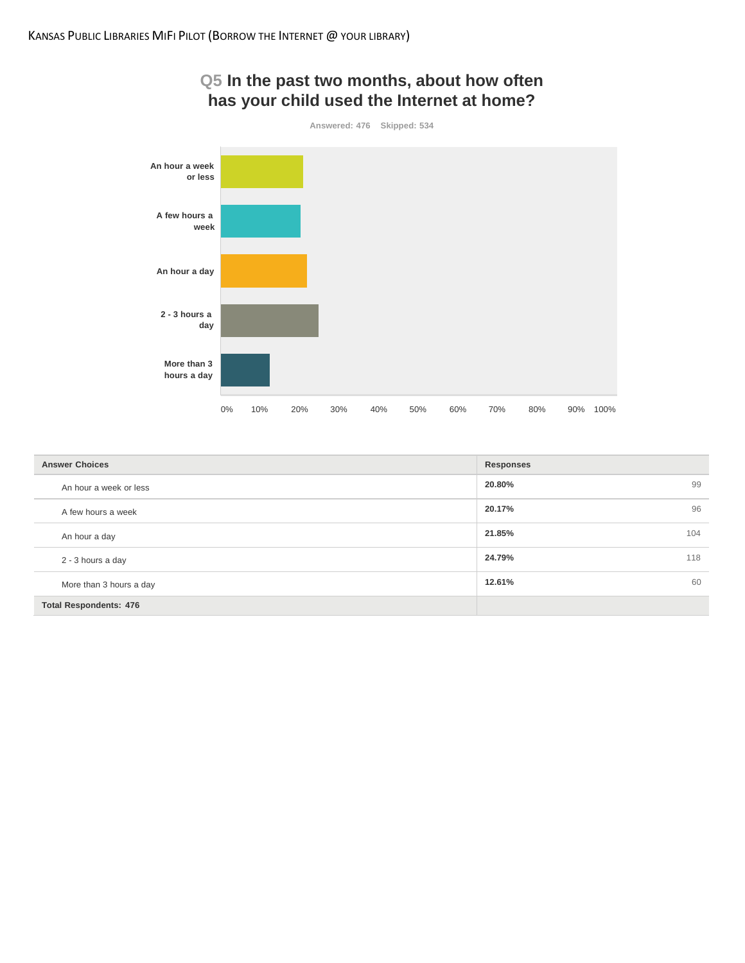

## **Q5 In the past two months, about how often has your child used the Internet at home?**

| <b>Answer Choices</b>         | <b>Responses</b> |
|-------------------------------|------------------|
| An hour a week or less        | 20.80%<br>99     |
| A few hours a week            | 20.17%<br>96     |
| An hour a day                 | 21.85%<br>104    |
| 2 - 3 hours a day             | 24.79%<br>118    |
| More than 3 hours a day       | 12.61%<br>60     |
| <b>Total Respondents: 476</b> |                  |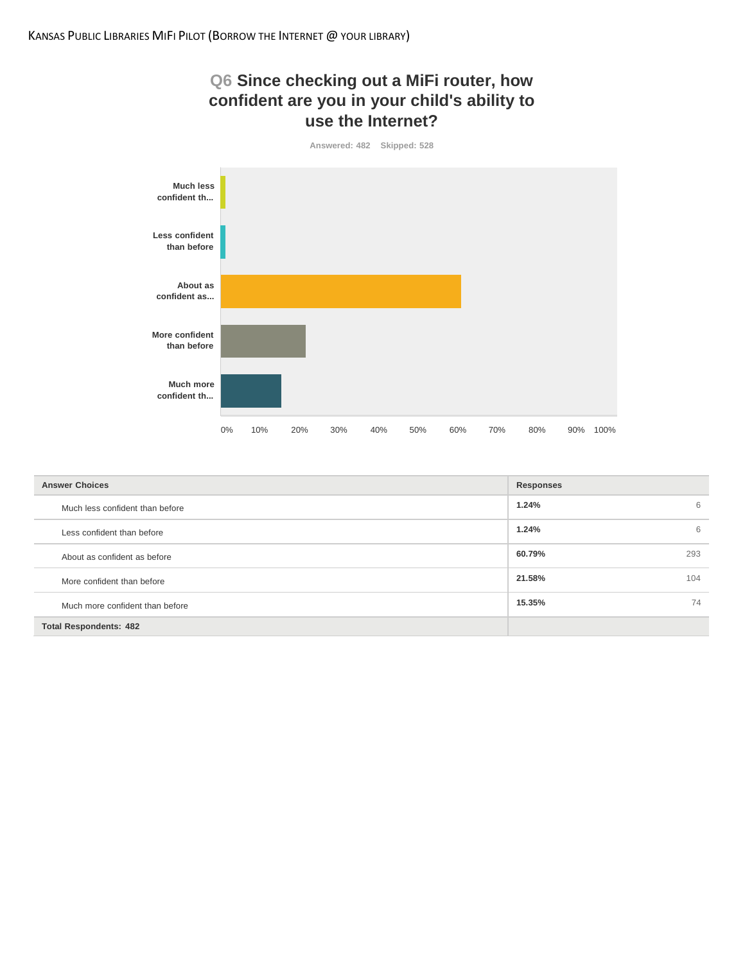



| <b>Answer Choices</b>           | <b>Responses</b> |
|---------------------------------|------------------|
| Much less confident than before | 1.24%<br>6       |
| Less confident than before      | 1.24%<br>6       |
| About as confident as before    | 60.79%<br>293    |
| More confident than before      | 21.58%<br>104    |
| Much more confident than before | 74<br>15.35%     |
| <b>Total Respondents: 482</b>   |                  |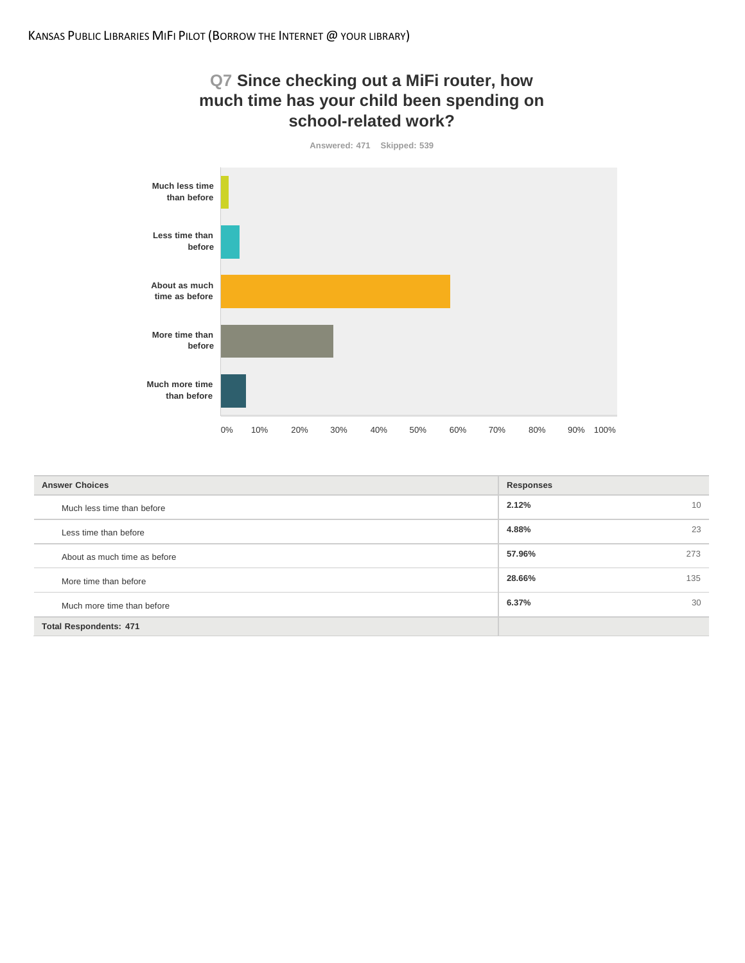



| <b>Answer Choices</b>         | <b>Responses</b> |
|-------------------------------|------------------|
| Much less time than before    | 2.12%<br>10      |
| Less time than before         | 4.88%<br>23      |
| About as much time as before  | 57.96%<br>273    |
| More time than before         | 28.66%<br>135    |
| Much more time than before    | 6.37%<br>30      |
| <b>Total Respondents: 471</b> |                  |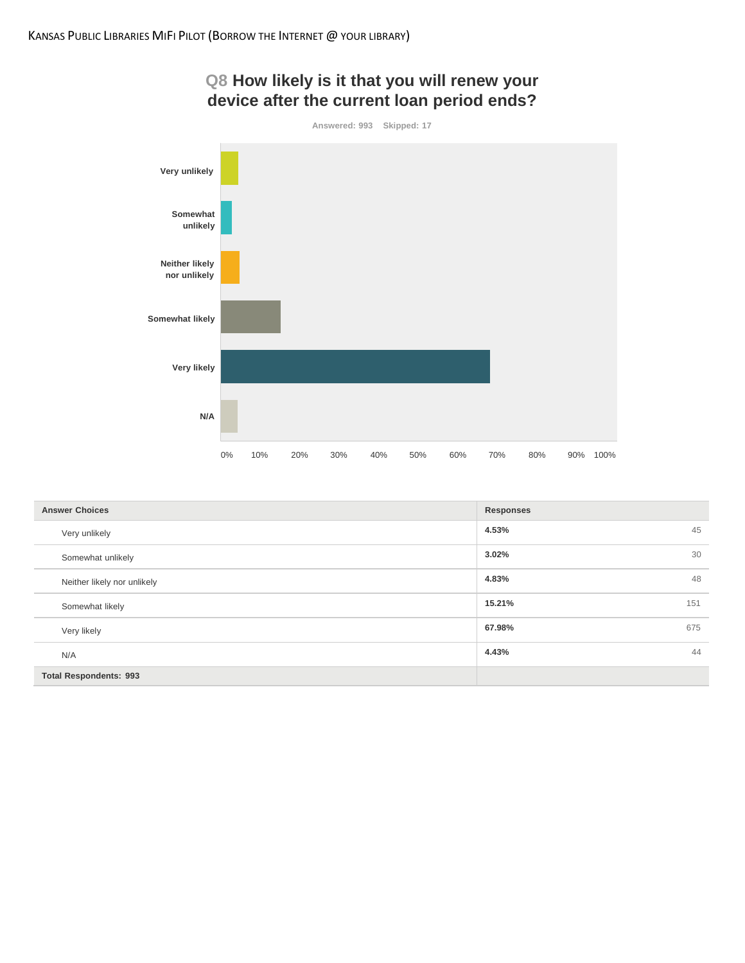

| <b>Answer Choices</b>         | Responses     |
|-------------------------------|---------------|
| Very unlikely                 | 45<br>4.53%   |
| Somewhat unlikely             | 30<br>3.02%   |
| Neither likely nor unlikely   | 48<br>4.83%   |
| Somewhat likely               | 15.21%<br>151 |
| Very likely                   | 67.98%<br>675 |
| N/A                           | 44<br>4.43%   |
| <b>Total Respondents: 993</b> |               |

# **Q8 How likely is it that you will renew your**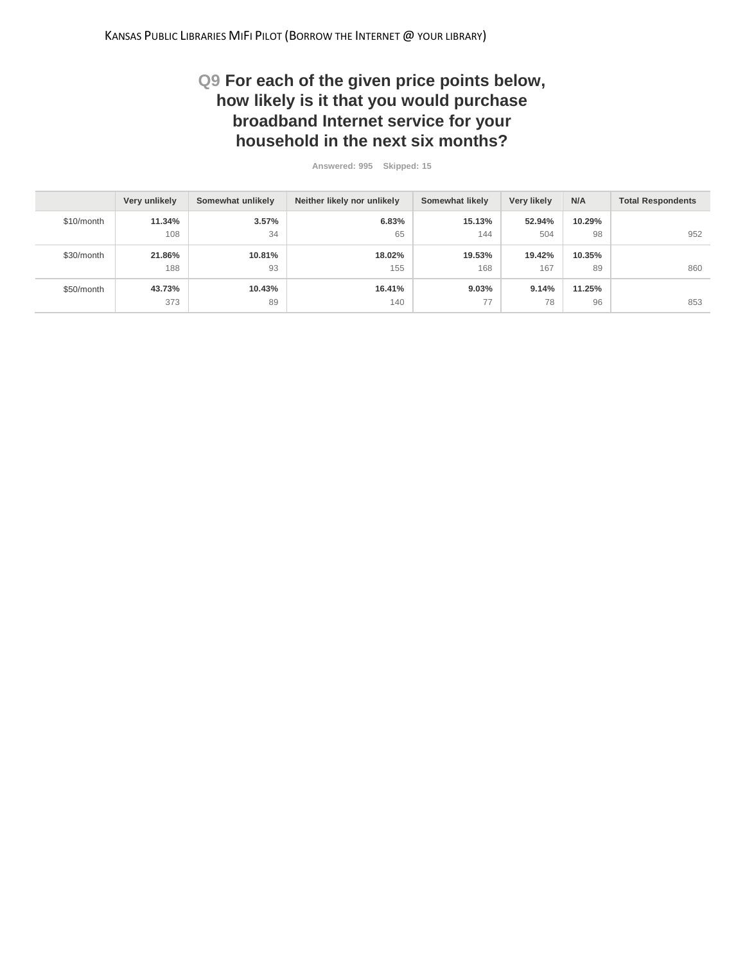## **Q9 For each of the given price points below, how likely is it that you would purchase broadband Internet service for your household in the next six months?**

**Answered: 995 Skipped: 15**

|            | Very unlikely | Somewhat unlikely | Neither likely nor unlikely | Somewhat likely | Very likely | N/A    | <b>Total Respondents</b> |
|------------|---------------|-------------------|-----------------------------|-----------------|-------------|--------|--------------------------|
| \$10/month | 11.34%        | 3.57%             | 6.83%                       | 15.13%          | 52.94%      | 10.29% |                          |
|            | 108           | 34                | 65                          | 144             | 504         | 98     | 952                      |
| \$30/month | 21.86%        | 10.81%            | 18.02%                      | 19.53%          | 19.42%      | 10.35% |                          |
|            | 188           | 93                | 155                         | 168             | 167         | 89     | 860                      |
| \$50/month | 43.73%        | 10.43%            | 16.41%                      | 9.03%           | 9.14%       | 11.25% |                          |
|            | 373           | 89                | 140                         | 77              | 78          | 96     | 853                      |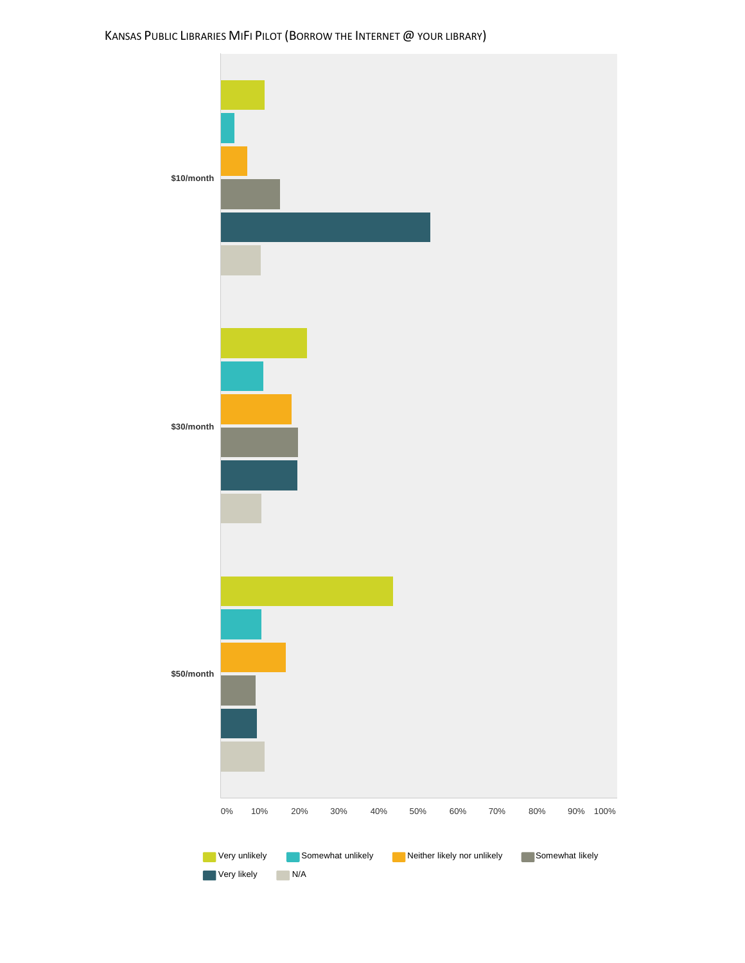## KANSAS PUBLIC LIBRARIES MIFI PILOT (BORROW THE INTERNET @ YOUR LIBRARY)

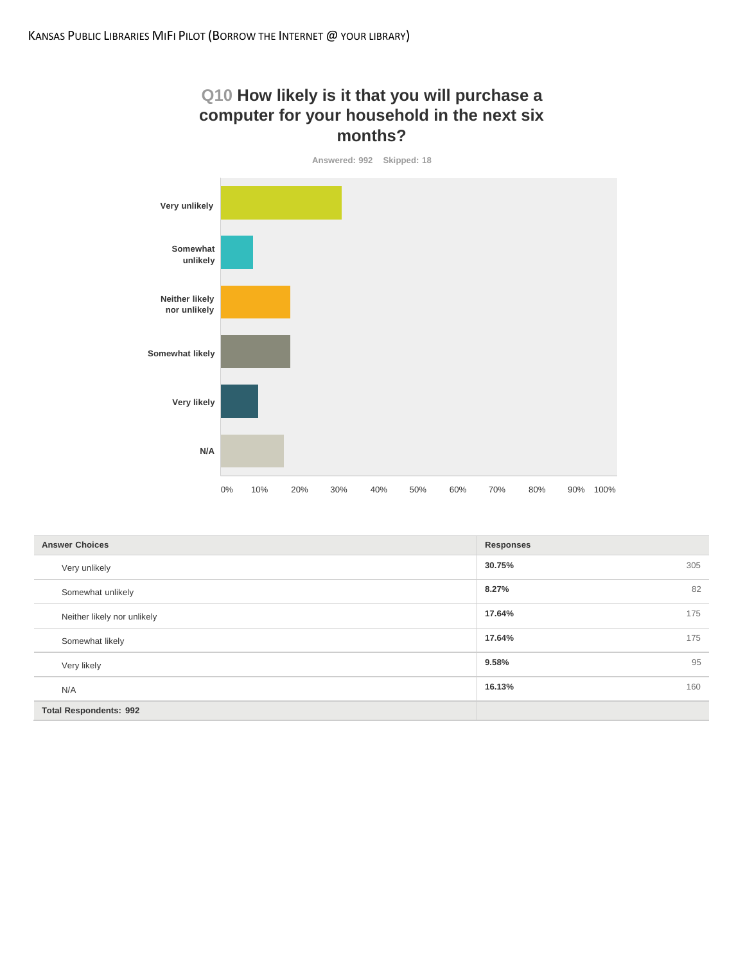## **Q10 How likely is it that you will purchase a computer for your household in the next six months?**



| <b>Answer Choices</b>         | <b>Responses</b> |
|-------------------------------|------------------|
| Very unlikely                 | 30.75%<br>305    |
| Somewhat unlikely             | 82<br>8.27%      |
| Neither likely nor unlikely   | 17.64%<br>175    |
| Somewhat likely               | 17.64%<br>175    |
| Very likely                   | 95<br>9.58%      |
| N/A                           | 16.13%<br>160    |
| <b>Total Respondents: 992</b> |                  |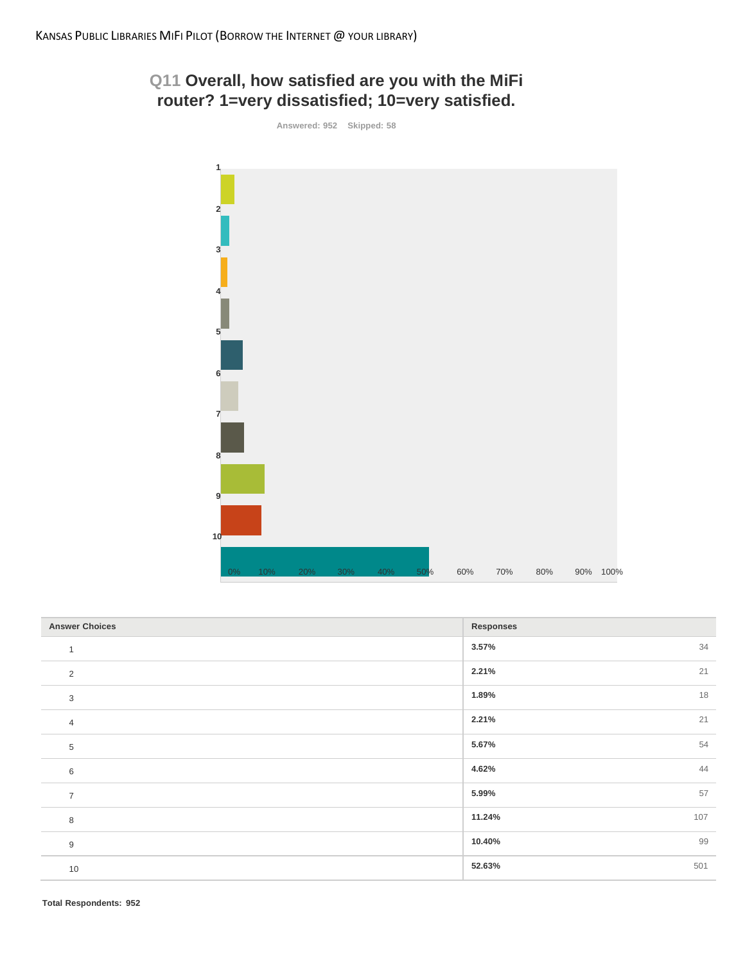## **Q11 Overall, how satisfied are you with the MiFi router? 1=very dissatisfied; 10=very satisfied.**

**Answered: 952 Skipped: 58**



| <b>Answer Choices</b> | <b>Responses</b> |
|-----------------------|------------------|
|                       | 3.57%<br>34      |
| 2                     | 21<br>2.21%      |
| 3                     | 18<br>1.89%      |
| $\overline{4}$        | 21<br>2.21%      |
| $\,$ 5 $\,$           | 54<br>5.67%      |
| 6                     | 44<br>4.62%      |
| $\overline{7}$        | 57<br>5.99%      |
| 8                     | 11.24%<br>107    |
| $9\,$                 | 99<br>10.40%     |
| 10                    | 52.63%<br>501    |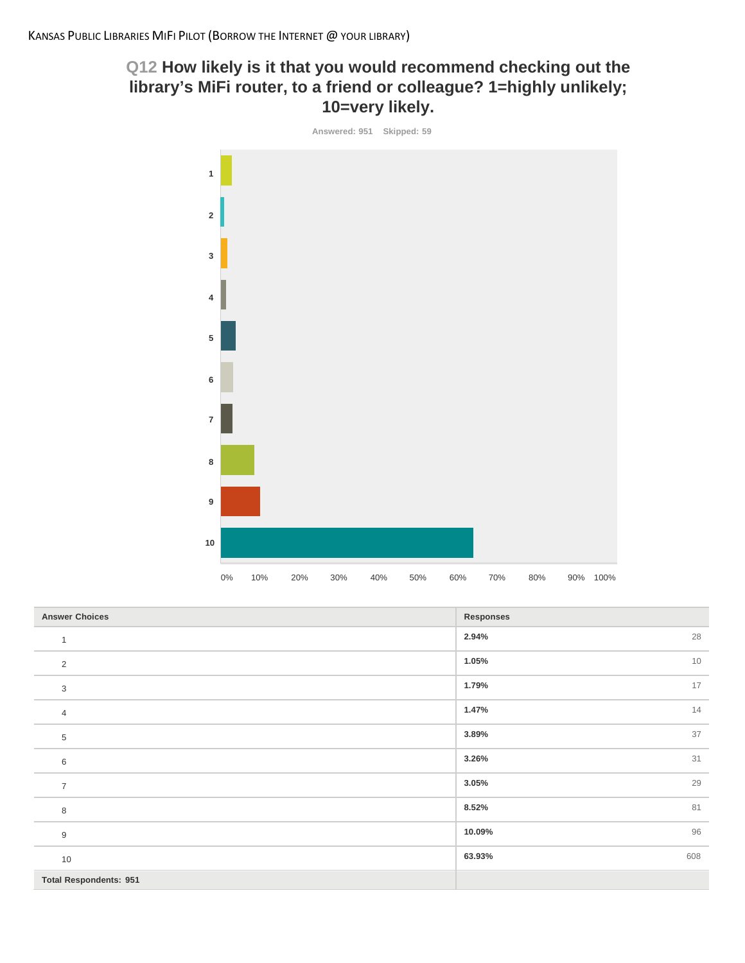## **Q12 How likely is it that you would recommend checking out the library's MiFi router, to a friend or colleague? 1=highly unlikely; 10=very likely.**



| <b>Answer Choices</b>         | <b>Responses</b> |
|-------------------------------|------------------|
| $\mathbf{1}$                  | 28<br>2.94%      |
| $\sqrt{2}$                    | 10<br>1.05%      |
| 3                             | 17<br>1.79%      |
| $\overline{4}$                | 14<br>1.47%      |
| 5                             | 37<br>3.89%      |
| 6                             | 31<br>3.26%      |
| $\overline{7}$                | 29<br>3.05%      |
| 8                             | 81<br>8.52%      |
| $9\,$                         | 96<br>10.09%     |
| 10                            | 608<br>63.93%    |
| <b>Total Respondents: 951</b> |                  |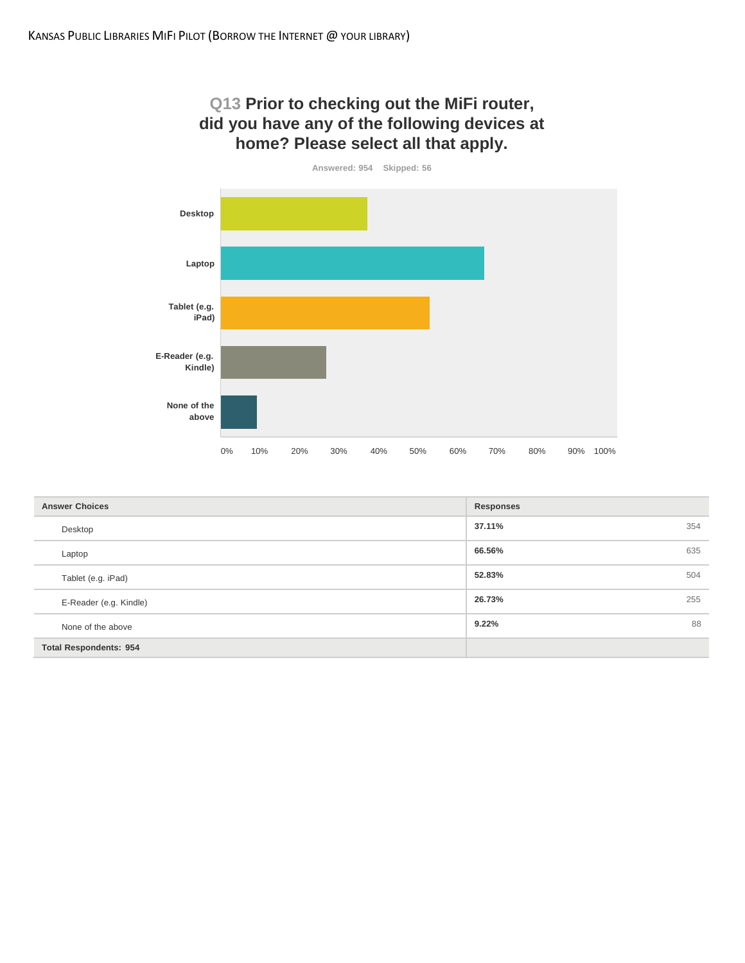## **Q13 Prior to checking out the MiFi router, did you have any of the following devices at home? Please select all that apply.**



| <b>Answer Choices</b>         | <b>Responses</b> |
|-------------------------------|------------------|
| Desktop                       | 37.11%<br>354    |
| Laptop                        | 66.56%<br>635    |
| Tablet (e.g. iPad)            | 52.83%<br>504    |
| E-Reader (e.g. Kindle)        | 26.73%<br>255    |
| None of the above             | 88<br>9.22%      |
| <b>Total Respondents: 954</b> |                  |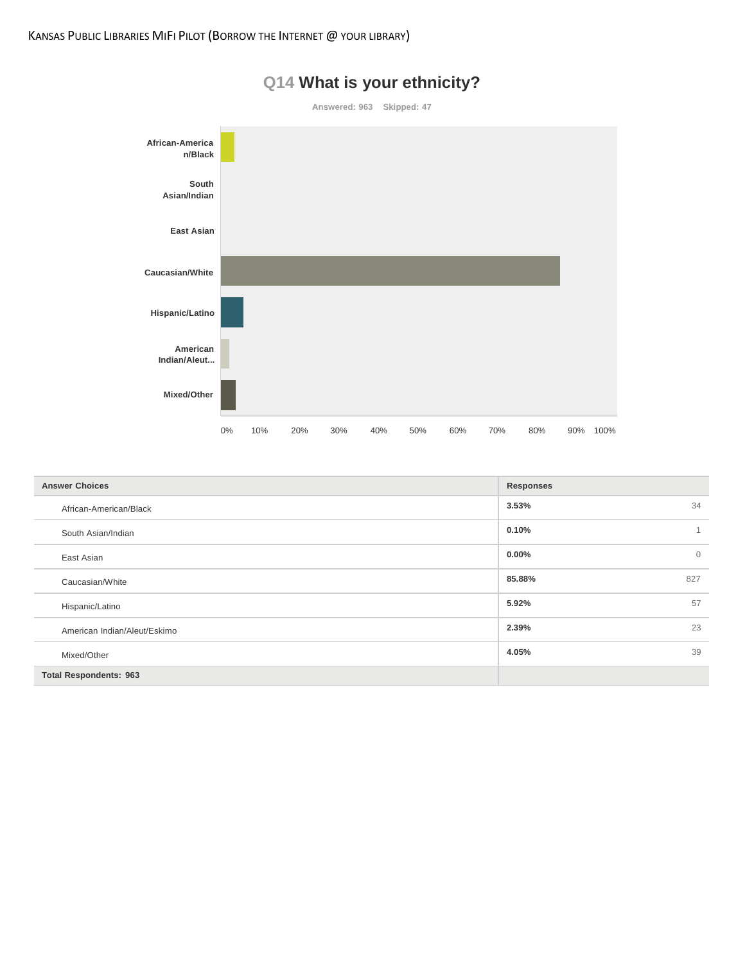

| <b>Answer Choices</b>         | <b>Responses</b>         |
|-------------------------------|--------------------------|
| African-American/Black        | 3.53%<br>34              |
| South Asian/Indian            | 0.10%                    |
| East Asian                    | $0.00\%$<br>$\mathbf{0}$ |
| Caucasian/White               | 85.88%<br>827            |
| Hispanic/Latino               | 5.92%<br>57              |
| American Indian/Aleut/Eskimo  | 2.39%<br>23              |
| Mixed/Other                   | 4.05%<br>39              |
| <b>Total Respondents: 963</b> |                          |

# **Q14 What is your ethnicity?**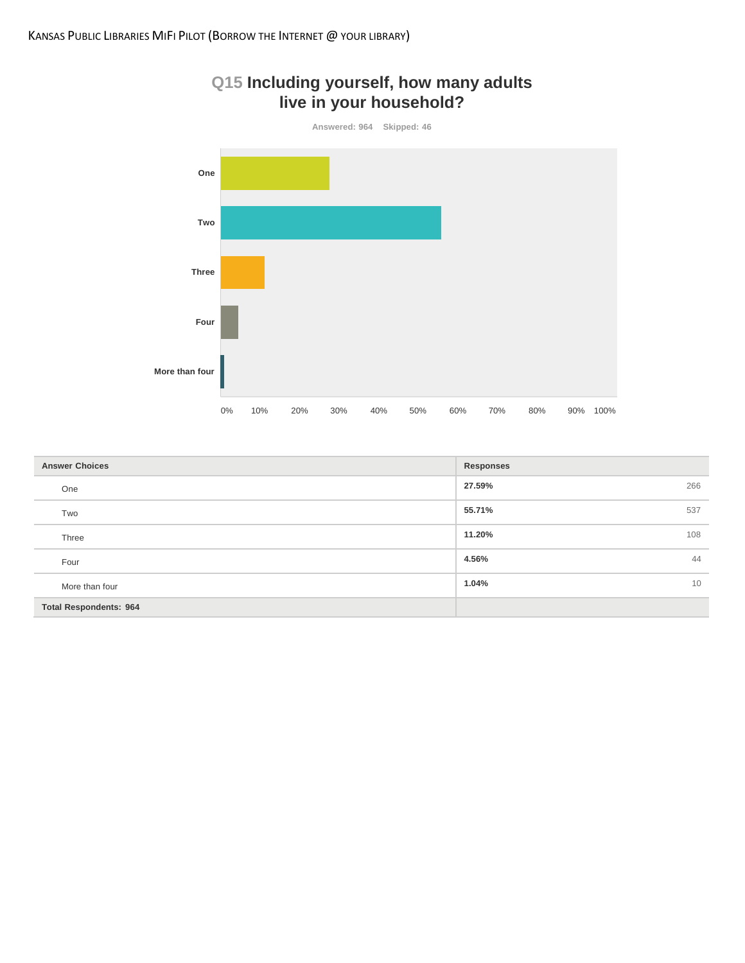



| <b>Answer Choices</b>         | <b>Responses</b> |
|-------------------------------|------------------|
| One                           | 27.59%<br>266    |
| Two                           | 55.71%<br>537    |
| Three                         | 11.20%<br>108    |
| Four                          | 44<br>4.56%      |
| More than four                | 1.04%<br>10      |
| <b>Total Respondents: 964</b> |                  |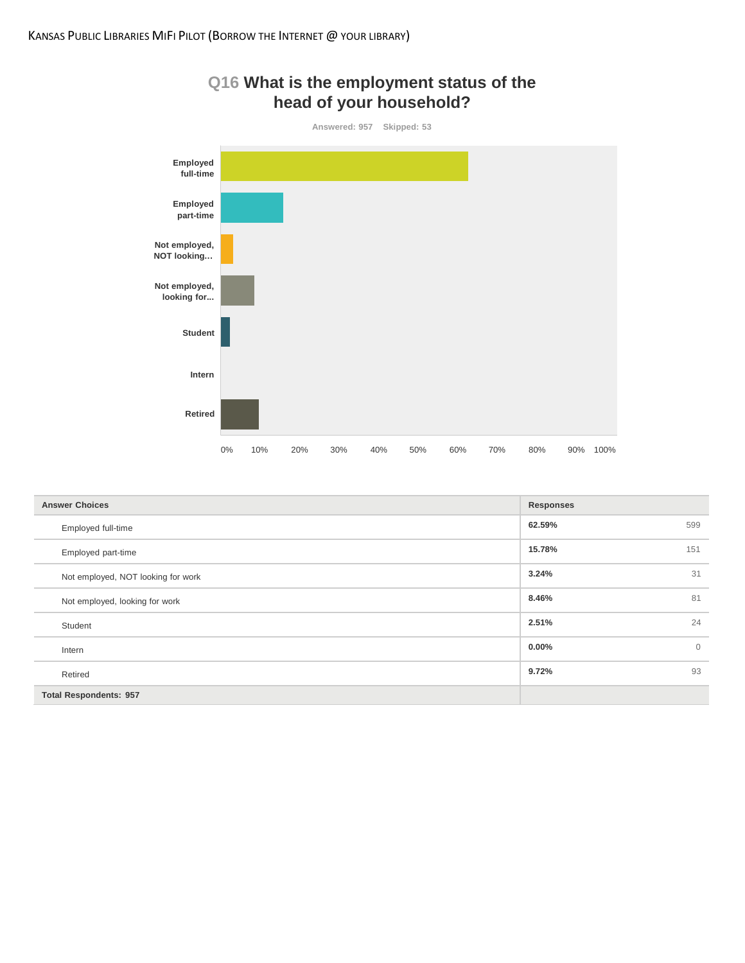



| <b>Answer Choices</b>              | <b>Responses</b> |              |
|------------------------------------|------------------|--------------|
| Employed full-time                 | 62.59%           | 599          |
| Employed part-time                 | 15.78%           | 151          |
| Not employed, NOT looking for work | 3.24%            | 31           |
| Not employed, looking for work     | 8.46%            | 81           |
| Student                            | 2.51%            | 24           |
| Intern                             | $0.00\%$         | $\mathbf{0}$ |
| Retired                            | 9.72%            | 93           |
| <b>Total Respondents: 957</b>      |                  |              |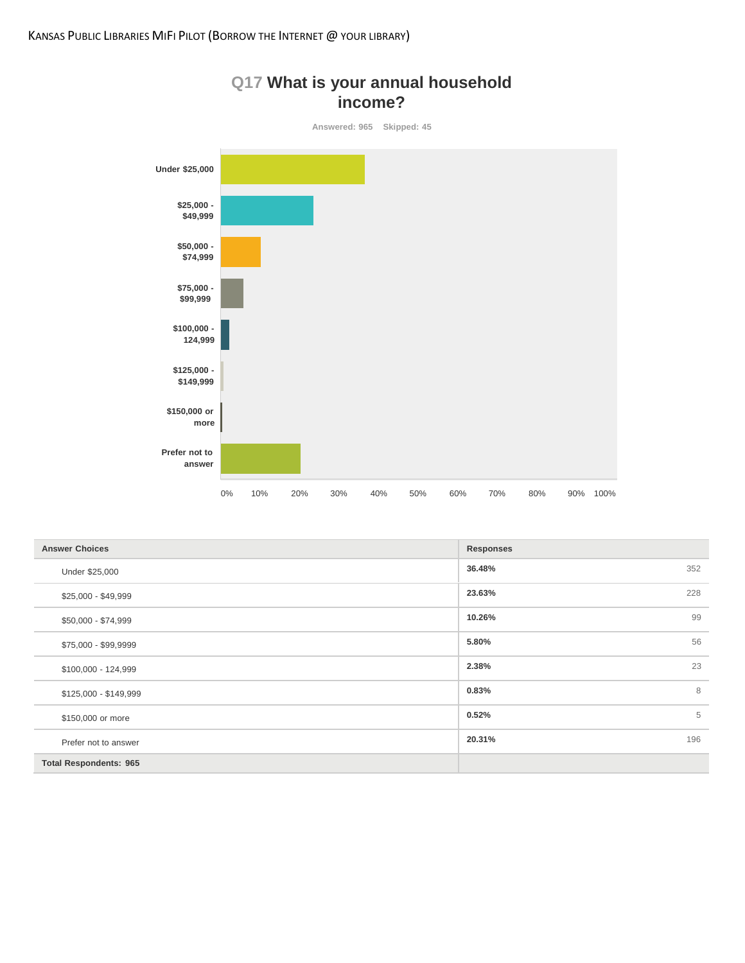

| <b>Answer Choices</b>         | <b>Responses</b> |
|-------------------------------|------------------|
| Under \$25,000                | 36.48%<br>352    |
| \$25,000 - \$49,999           | 228<br>23.63%    |
| \$50,000 - \$74,999           | 99<br>10.26%     |
| \$75,000 - \$99,9999          | 56<br>5.80%      |
| $$100,000 - 124,999$          | 23<br>2.38%      |
| \$125,000 - \$149,999         | 8<br>0.83%       |
| \$150,000 or more             | 0.52%<br>5       |
| Prefer not to answer          | 196<br>20.31%    |
| <b>Total Respondents: 965</b> |                  |

# **Q17 What is your annual household**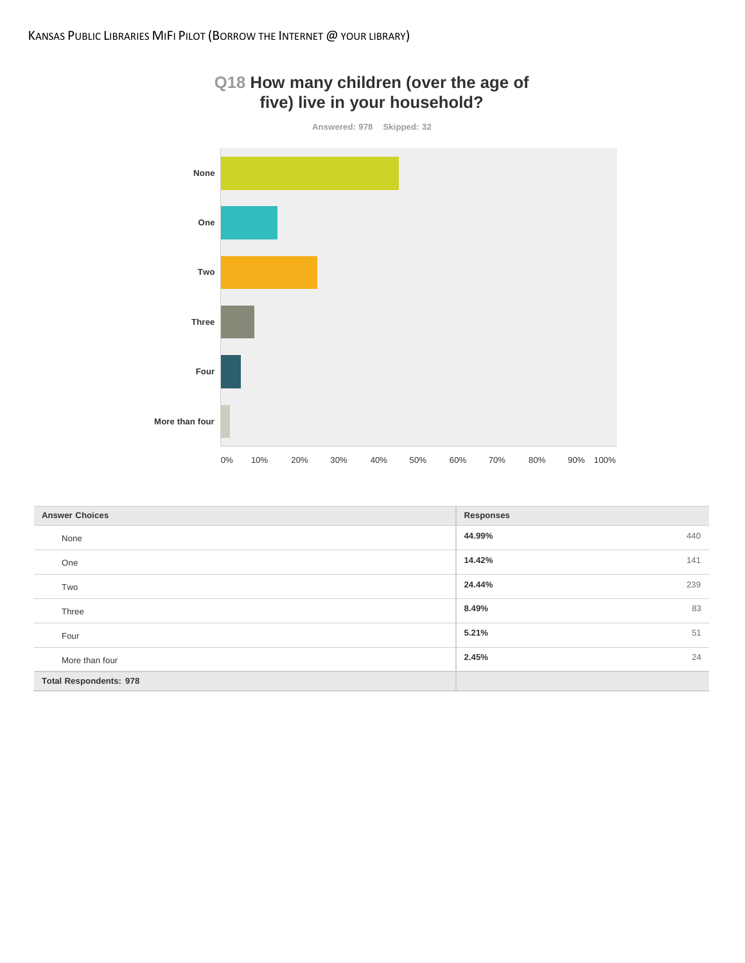

| Q18 How many children (over the age of |  |
|----------------------------------------|--|
| five) live in your household?          |  |

| <b>Answer Choices</b>         | <b>Responses</b> |
|-------------------------------|------------------|
| None                          | 44.99%<br>440    |
| One                           | 14.42%<br>141    |
| Two                           | 24.44%<br>239    |
| Three                         | 83<br>8.49%      |
| Four                          | 5.21%<br>51      |
| More than four                | 24<br>2.45%      |
| <b>Total Respondents: 978</b> |                  |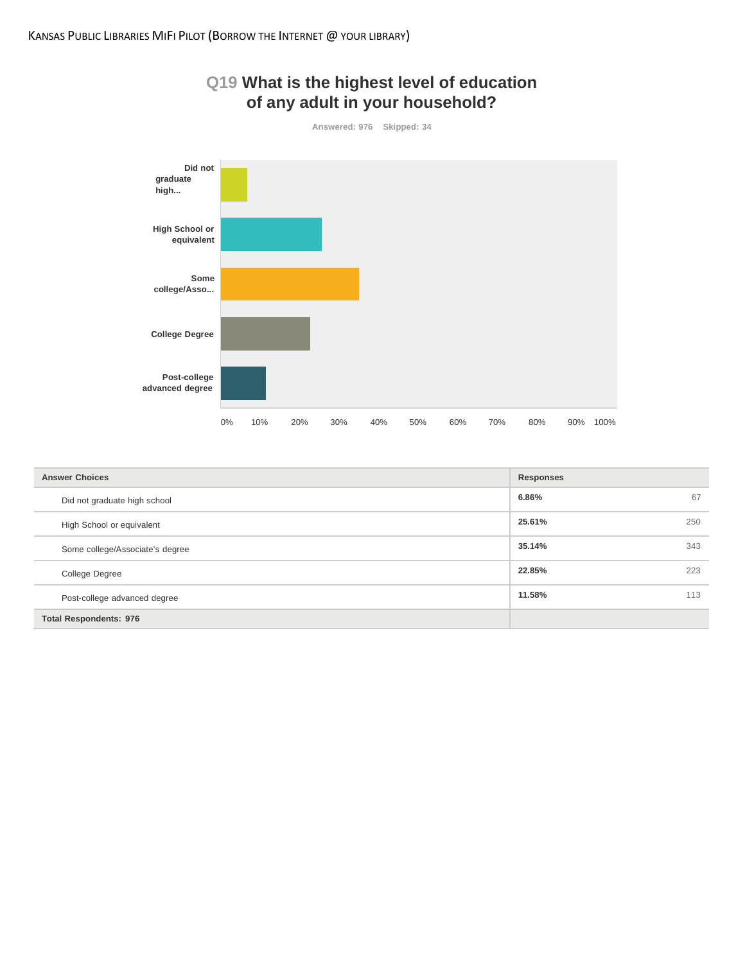

| <b>Answer Choices</b>           | <b>Responses</b> |     |
|---------------------------------|------------------|-----|
| Did not graduate high school    | 6.86%            | 67  |
| High School or equivalent       | 25.61%           | 250 |
| Some college/Associate's degree | 35.14%           | 343 |
| <b>College Degree</b>           | 22.85%           | 223 |
| Post-college advanced degree    | 11.58%           | 113 |
| <b>Total Respondents: 976</b>   |                  |     |

# **Q19 What is the highest level of education**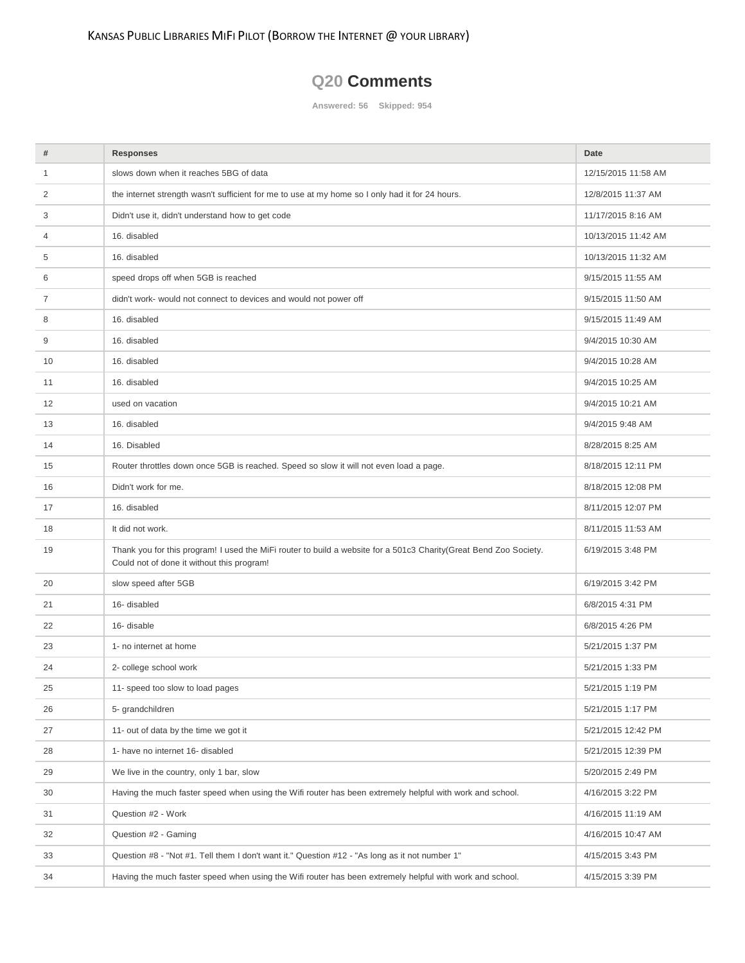## **Q20 Comments**

**Answered: 56 Skipped: 954**

| #  | <b>Responses</b>                                                                                                                                                | Date                |
|----|-----------------------------------------------------------------------------------------------------------------------------------------------------------------|---------------------|
| 1  | slows down when it reaches 5BG of data                                                                                                                          | 12/15/2015 11:58 AM |
| 2  | the internet strength wasn't sufficient for me to use at my home so I only had it for 24 hours.                                                                 | 12/8/2015 11:37 AM  |
| 3  | Didn't use it, didn't understand how to get code                                                                                                                | 11/17/2015 8:16 AM  |
| 4  | 16. disabled                                                                                                                                                    | 10/13/2015 11:42 AM |
| 5  | 16. disabled                                                                                                                                                    | 10/13/2015 11:32 AM |
| 6  | speed drops off when 5GB is reached                                                                                                                             | 9/15/2015 11:55 AM  |
| 7  | didn't work- would not connect to devices and would not power off                                                                                               | 9/15/2015 11:50 AM  |
| 8  | 16. disabled                                                                                                                                                    | 9/15/2015 11:49 AM  |
| 9  | 16. disabled                                                                                                                                                    | 9/4/2015 10:30 AM   |
| 10 | 16. disabled                                                                                                                                                    | 9/4/2015 10:28 AM   |
| 11 | 16. disabled                                                                                                                                                    | 9/4/2015 10:25 AM   |
| 12 | used on vacation                                                                                                                                                | 9/4/2015 10:21 AM   |
| 13 | 16. disabled                                                                                                                                                    | 9/4/2015 9:48 AM    |
| 14 | 16. Disabled                                                                                                                                                    | 8/28/2015 8:25 AM   |
| 15 | Router throttles down once 5GB is reached. Speed so slow it will not even load a page.                                                                          | 8/18/2015 12:11 PM  |
| 16 | Didn't work for me.                                                                                                                                             | 8/18/2015 12:08 PM  |
| 17 | 16. disabled                                                                                                                                                    | 8/11/2015 12:07 PM  |
| 18 | It did not work.                                                                                                                                                | 8/11/2015 11:53 AM  |
| 19 | Thank you for this program! I used the MiFi router to build a website for a 501c3 Charity(Great Bend Zoo Society.<br>Could not of done it without this program! | 6/19/2015 3:48 PM   |
| 20 | slow speed after 5GB                                                                                                                                            | 6/19/2015 3:42 PM   |
| 21 | 16- disabled                                                                                                                                                    | 6/8/2015 4:31 PM    |
| 22 | 16- disable                                                                                                                                                     | 6/8/2015 4:26 PM    |
| 23 | 1- no internet at home                                                                                                                                          | 5/21/2015 1:37 PM   |
| 24 | 2- college school work                                                                                                                                          | 5/21/2015 1:33 PM   |
| 25 | 11- speed too slow to load pages                                                                                                                                | 5/21/2015 1:19 PM   |
| 26 | 5- grandchildren                                                                                                                                                | 5/21/2015 1:17 PM   |
| 27 | 11- out of data by the time we got it                                                                                                                           | 5/21/2015 12:42 PM  |
| 28 | 1- have no internet 16- disabled                                                                                                                                | 5/21/2015 12:39 PM  |
| 29 | We live in the country, only 1 bar, slow                                                                                                                        | 5/20/2015 2:49 PM   |
| 30 | Having the much faster speed when using the Wifi router has been extremely helpful with work and school.                                                        | 4/16/2015 3:22 PM   |
| 31 | Question #2 - Work                                                                                                                                              | 4/16/2015 11:19 AM  |
| 32 | Question #2 - Gaming                                                                                                                                            | 4/16/2015 10:47 AM  |
| 33 | Question #8 - "Not #1. Tell them I don't want it." Question #12 - "As long as it not number 1"                                                                  | 4/15/2015 3:43 PM   |
| 34 | Having the much faster speed when using the Wifi router has been extremely helpful with work and school.                                                        | 4/15/2015 3:39 PM   |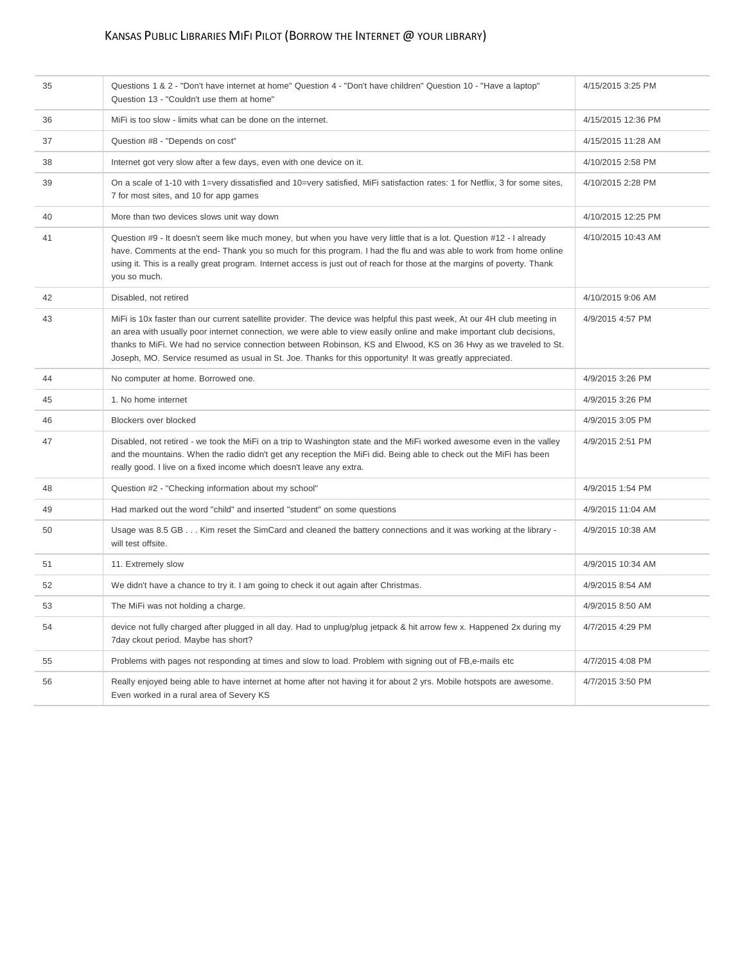## KANSAS PUBLIC LIBRARIES MIFI PILOT (BORROW THE INTERNET @ YOUR LIBRARY)

| 35 | Questions 1 & 2 - "Don't have internet at home" Question 4 - "Don't have children" Question 10 - "Have a laptop"<br>Question 13 - "Couldn't use them at home"                                                                                                                                                                                                                                                                                                                     | 4/15/2015 3:25 PM  |
|----|-----------------------------------------------------------------------------------------------------------------------------------------------------------------------------------------------------------------------------------------------------------------------------------------------------------------------------------------------------------------------------------------------------------------------------------------------------------------------------------|--------------------|
| 36 | MiFi is too slow - limits what can be done on the internet.                                                                                                                                                                                                                                                                                                                                                                                                                       | 4/15/2015 12:36 PM |
| 37 | Question #8 - "Depends on cost"                                                                                                                                                                                                                                                                                                                                                                                                                                                   | 4/15/2015 11:28 AM |
| 38 | Internet got very slow after a few days, even with one device on it.                                                                                                                                                                                                                                                                                                                                                                                                              | 4/10/2015 2:58 PM  |
| 39 | On a scale of 1-10 with 1=very dissatisfied and 10=very satisfied, MiFi satisfaction rates: 1 for Netflix, 3 for some sites,<br>7 for most sites, and 10 for app games                                                                                                                                                                                                                                                                                                            | 4/10/2015 2:28 PM  |
| 40 | More than two devices slows unit way down                                                                                                                                                                                                                                                                                                                                                                                                                                         | 4/10/2015 12:25 PM |
| 41 | Question #9 - It doesn't seem like much money, but when you have very little that is a lot. Question #12 - I already<br>have. Comments at the end-Thank you so much for this program. I had the flu and was able to work from home online<br>using it. This is a really great program. Internet access is just out of reach for those at the margins of poverty. Thank<br>you so much.                                                                                            | 4/10/2015 10:43 AM |
| 42 | Disabled, not retired                                                                                                                                                                                                                                                                                                                                                                                                                                                             | 4/10/2015 9:06 AM  |
| 43 | MiFi is 10x faster than our current satellite provider. The device was helpful this past week, At our 4H club meeting in<br>an area with usually poor internet connection, we were able to view easily online and make important club decisions,<br>thanks to MiFi. We had no service connection between Robinson, KS and Elwood, KS on 36 Hwy as we traveled to St.<br>Joseph, MO. Service resumed as usual in St. Joe. Thanks for this opportunity! It was greatly appreciated. | 4/9/2015 4:57 PM   |
| 44 | No computer at home. Borrowed one.                                                                                                                                                                                                                                                                                                                                                                                                                                                | 4/9/2015 3:26 PM   |
| 45 | 1. No home internet                                                                                                                                                                                                                                                                                                                                                                                                                                                               | 4/9/2015 3:26 PM   |
| 46 | Blockers over blocked                                                                                                                                                                                                                                                                                                                                                                                                                                                             | 4/9/2015 3:05 PM   |
| 47 | Disabled, not retired - we took the MiFi on a trip to Washington state and the MiFi worked awesome even in the valley<br>and the mountains. When the radio didn't get any reception the MiFi did. Being able to check out the MiFi has been<br>really good. I live on a fixed income which doesn't leave any extra.                                                                                                                                                               | 4/9/2015 2:51 PM   |
| 48 | Question #2 - "Checking information about my school"                                                                                                                                                                                                                                                                                                                                                                                                                              | 4/9/2015 1:54 PM   |
| 49 | Had marked out the word "child" and inserted "student" on some questions                                                                                                                                                                                                                                                                                                                                                                                                          | 4/9/2015 11:04 AM  |
| 50 | Usage was 8.5 GB Kim reset the SimCard and cleaned the battery connections and it was working at the library -<br>will test offsite.                                                                                                                                                                                                                                                                                                                                              | 4/9/2015 10:38 AM  |
| 51 | 11. Extremely slow                                                                                                                                                                                                                                                                                                                                                                                                                                                                | 4/9/2015 10:34 AM  |
| 52 | We didn't have a chance to try it. I am going to check it out again after Christmas.                                                                                                                                                                                                                                                                                                                                                                                              | 4/9/2015 8:54 AM   |
| 53 | The MiFi was not holding a charge.                                                                                                                                                                                                                                                                                                                                                                                                                                                | 4/9/2015 8:50 AM   |
| 54 | device not fully charged after plugged in all day. Had to unplug/plug jetpack & hit arrow few x. Happened 2x during my<br>7day ckout period. Maybe has short?                                                                                                                                                                                                                                                                                                                     | 4/7/2015 4:29 PM   |
| 55 | Problems with pages not responding at times and slow to load. Problem with signing out of FB, e-mails etc                                                                                                                                                                                                                                                                                                                                                                         | 4/7/2015 4:08 PM   |
| 56 | Really enjoyed being able to have internet at home after not having it for about 2 yrs. Mobile hotspots are awesome.<br>Even worked in a rural area of Severy KS                                                                                                                                                                                                                                                                                                                  | 4/7/2015 3:50 PM   |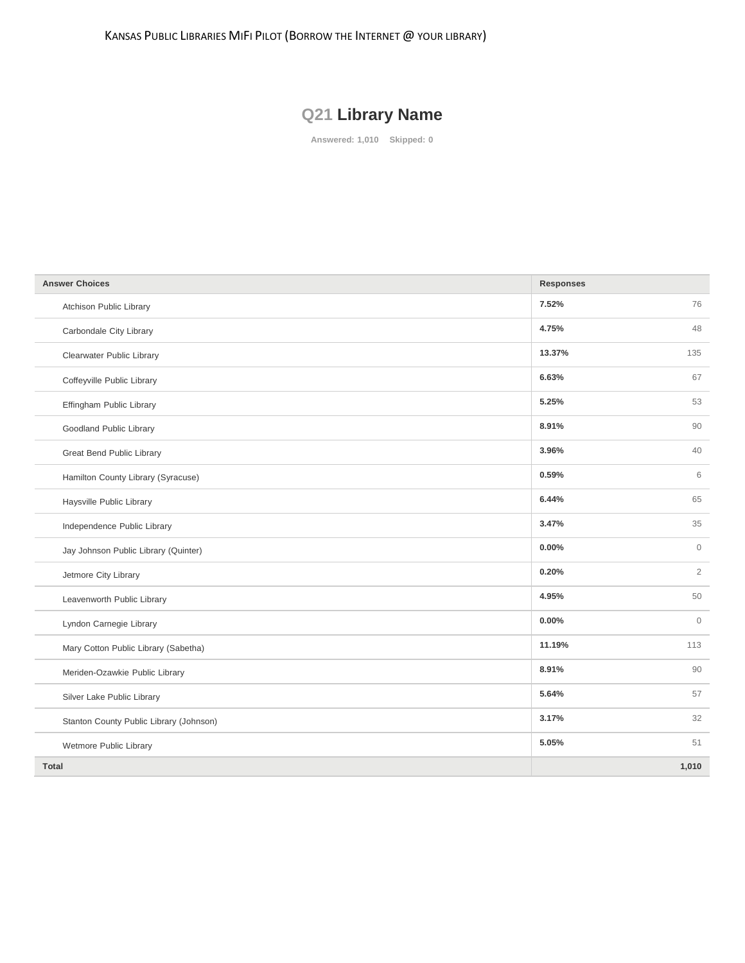KANSAS PUBLIC LIBRARIES MIFI PILOT (BORROW THE INTERNET @ YOUR LIBRARY)

# **Q21 Library Name**

**Answered: 1,010 Skipped: 0**

| <b>Answer Choices</b>                   | <b>Responses</b> |                |
|-----------------------------------------|------------------|----------------|
| Atchison Public Library                 | 7.52%            | 76             |
| Carbondale City Library                 | 4.75%            | 48             |
| Clearwater Public Library               | 13.37%           | 135            |
| Coffeyville Public Library              | 6.63%            | 67             |
| Effingham Public Library                | 5.25%            | 53             |
| Goodland Public Library                 | 8.91%            | 90             |
| Great Bend Public Library               | 3.96%            | 40             |
| Hamilton County Library (Syracuse)      | 0.59%            | 6              |
| Haysville Public Library                | 6.44%            | 65             |
| Independence Public Library             | 3.47%            | 35             |
| Jay Johnson Public Library (Quinter)    | 0.00%            | $\mathbf{0}$   |
| Jetmore City Library                    | 0.20%            | $\overline{2}$ |
| Leavenworth Public Library              | 4.95%            | 50             |
| Lyndon Carnegie Library                 | 0.00%            | $\mathbf{0}$   |
| Mary Cotton Public Library (Sabetha)    | 11.19%           | 113            |
| Meriden-Ozawkie Public Library          | 8.91%            | 90             |
| Silver Lake Public Library              | 5.64%            | 57             |
| Stanton County Public Library (Johnson) | 3.17%            | 32             |
| Wetmore Public Library                  | 5.05%            | 51             |
| <b>Total</b>                            |                  | 1,010          |